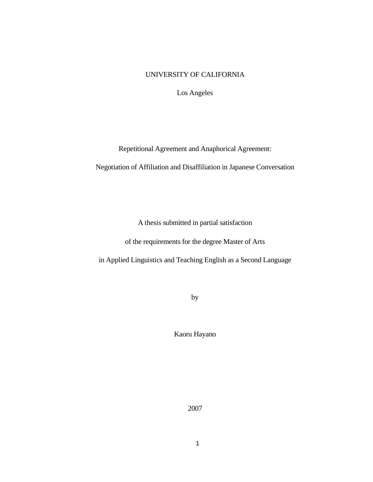# UNIVERSITY OF CALIFORNIA

Los Angeles

Repetitional Agreement and Anaphorical Agreement:

Negotiation of Affiliation and Disaffiliation in Japanese Conversation

A thesis submitted in partial satisfaction

of the requirements for the degree Master of Arts

in Applied Linguistics and Teaching English as a Second Language

by

Kaoru Hayano

2007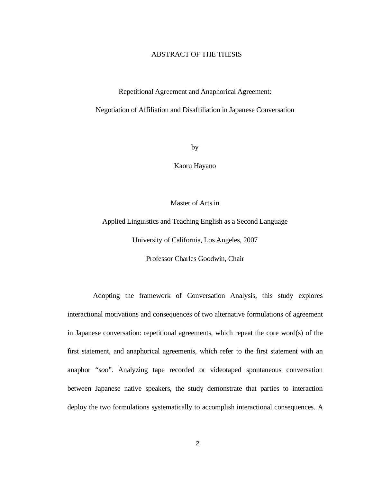## ABSTRACT OF THE THESIS

### Repetitional Agreement and Anaphorical Agreement:

### Negotiation of Affiliation and Disaffiliation in Japanese Conversation

by

Kaoru Hayano

Master of Arts in

Applied Linguistics and Teaching English as a Second Language

University of California, Los Angeles, 2007

Professor Charles Goodwin, Chair

 Adopting the framework of Conversation Analysis, this study explores interactional motivations and consequences of two alternative formulations of agreement in Japanese conversation: repetitional agreements, which repeat the core word(s) of the first statement, and anaphorical agreements, which refer to the first statement with an anaphor "*soo*". Analyzing tape recorded or videotaped spontaneous conversation between Japanese native speakers, the study demonstrate that parties to interaction deploy the two formulations systematically to accomplish interactional consequences. A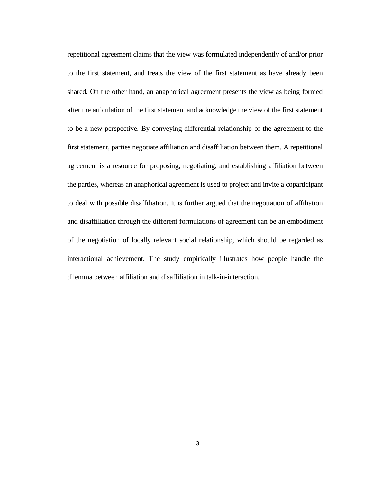repetitional agreement claims that the view was formulated independently of and/or prior to the first statement, and treats the view of the first statement as have already been shared. On the other hand, an anaphorical agreement presents the view as being formed after the articulation of the first statement and acknowledge the view of the first statement to be a new perspective. By conveying differential relationship of the agreement to the first statement, parties negotiate affiliation and disaffiliation between them. A repetitional agreement is a resource for proposing, negotiating, and establishing affiliation between the parties, whereas an anaphorical agreement is used to project and invite a coparticipant to deal with possible disaffiliation. It is further argued that the negotiation of affiliation and disaffiliation through the different formulations of agreement can be an embodiment of the negotiation of locally relevant social relationship, which should be regarded as interactional achievement. The study empirically illustrates how people handle the dilemma between affiliation and disaffiliation in talk-in-interaction.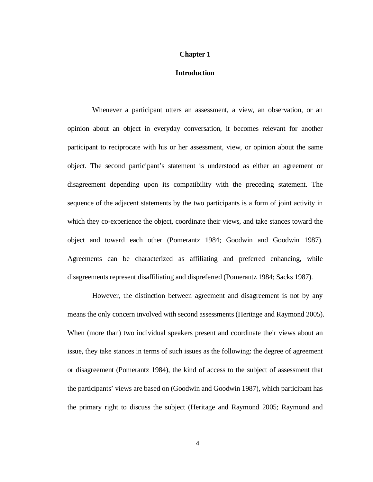### **Chapter 1**

### **Introduction**

Whenever a participant utters an assessment, a view, an observation, or an opinion about an object in everyday conversation, it becomes relevant for another participant to reciprocate with his or her assessment, view, or opinion about the same object. The second participant's statement is understood as either an agreement or disagreement depending upon its compatibility with the preceding statement. The sequence of the adjacent statements by the two participants is a form of joint activity in which they co-experience the object, coordinate their views, and take stances toward the object and toward each other (Pomerantz 1984; Goodwin and Goodwin 1987). Agreements can be characterized as affiliating and preferred enhancing, while disagreements represent disaffiliating and dispreferred (Pomerantz 1984; Sacks 1987).

 However, the distinction between agreement and disagreement is not by any means the only concern involved with second assessments (Heritage and Raymond 2005). When (more than) two individual speakers present and coordinate their views about an issue, they take stances in terms of such issues as the following: the degree of agreement or disagreement (Pomerantz 1984), the kind of access to the subject of assessment that the participants' views are based on (Goodwin and Goodwin 1987), which participant has the primary right to discuss the subject (Heritage and Raymond 2005; Raymond and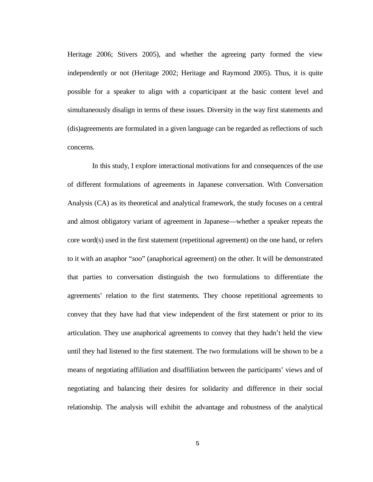Heritage 2006; Stivers 2005), and whether the agreeing party formed the view independently or not (Heritage 2002; Heritage and Raymond 2005). Thus, it is quite possible for a speaker to align with a coparticipant at the basic content level and simultaneously disalign in terms of these issues. Diversity in the way first statements and (dis)agreements are formulated in a given language can be regarded as reflections of such concerns.

In this study, I explore interactional motivations for and consequences of the use of different formulations of agreements in Japanese conversation. With Conversation Analysis (CA) as its theoretical and analytical framework, the study focuses on a central and almost obligatory variant of agreement in Japanese—whether a speaker repeats the core word(s) used in the first statement (repetitional agreement) on the one hand, or refers to it with an anaphor "*soo*" (anaphorical agreement) on the other. It will be demonstrated that parties to conversation distinguish the two formulations to differentiate the agreements' relation to the first statements. They choose repetitional agreements to convey that they have had that view independent of the first statement or prior to its articulation. They use anaphorical agreements to convey that they hadn't held the view until they had listened to the first statement. The two formulations will be shown to be a means of negotiating affiliation and disaffiliation between the participants' views and of negotiating and balancing their desires for solidarity and difference in their social relationship. The analysis will exhibit the advantage and robustness of the analytical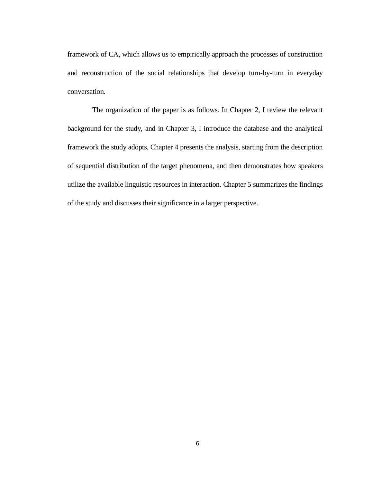framework of CA, which allows us to empirically approach the processes of construction and reconstruction of the social relationships that develop turn-by-turn in everyday conversation.

 The organization of the paper is as follows. In Chapter 2, I review the relevant background for the study, and in Chapter 3, I introduce the database and the analytical framework the study adopts. Chapter 4 presents the analysis, starting from the description of sequential distribution of the target phenomena, and then demonstrates how speakers utilize the available linguistic resources in interaction. Chapter 5 summarizes the findings of the study and discusses their significance in a larger perspective.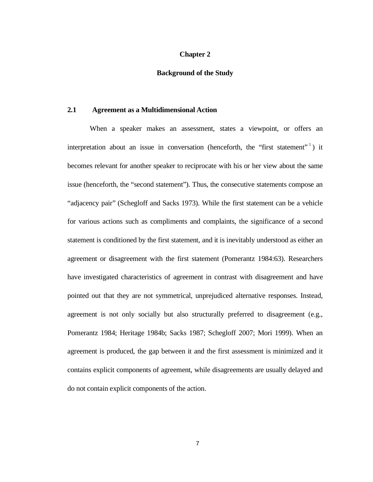### **Chapter 2**

### **Background of the Study**

#### **2.1 Agreement as a Multidimensional Action**

When a speaker makes an assessment, states a viewpoint, or offers an interpretation about an issue in conversation (henceforth, the "first statement"<sup>1</sup>) it becomes relevant for another speaker to reciprocate with his or her view about the same issue (henceforth, the "second statement"). Thus, the consecutive statements compose an "adjacency pair" (Schegloff and Sacks 1973). While the first statement can be a vehicle for various actions such as compliments and complaints, the significance of a second statement is conditioned by the first statement, and it is inevitably understood as either an agreement or disagreement with the first statement (Pomerantz 1984:63). Researchers have investigated characteristics of agreement in contrast with disagreement and have pointed out that they are not symmetrical, unprejudiced alternative responses. Instead, agreement is not only socially but also structurally preferred to disagreement (e.g., Pomerantz 1984; Heritage 1984b; Sacks 1987; Schegloff 2007; Mori 1999). When an agreement is produced, the gap between it and the first assessment is minimized and it contains explicit components of agreement, while disagreements are usually delayed and do not contain explicit components of the action.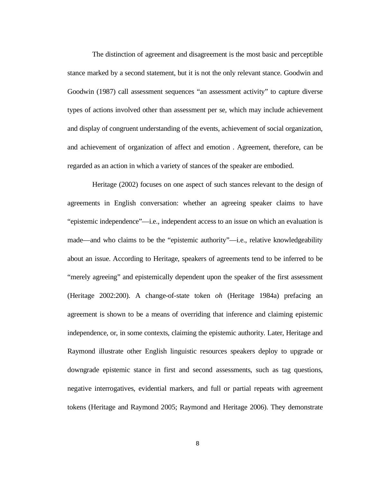The distinction of agreement and disagreement is the most basic and perceptible stance marked by a second statement, but it is not the only relevant stance. Goodwin and Goodwin (1987) call assessment sequences "an assessment activity" to capture diverse types of actions involved other than assessment per se, which may include achievement and display of congruent understanding of the events, achievement of social organization, and achievement of organization of affect and emotion . Agreement, therefore, can be regarded as an action in which a variety of stances of the speaker are embodied.

 Heritage (2002) focuses on one aspect of such stances relevant to the design of agreements in English conversation: whether an agreeing speaker claims to have "epistemic independence"—i.e., independent access to an issue on which an evaluation is made—and who claims to be the "epistemic authority"—i.e., relative knowledgeability about an issue. According to Heritage, speakers of agreements tend to be inferred to be "merely agreeing" and epistemically dependent upon the speaker of the first assessment (Heritage 2002:200). A change-of-state token *oh* (Heritage 1984a) prefacing an agreement is shown to be a means of overriding that inference and claiming epistemic independence, or, in some contexts, claiming the epistemic authority. Later, Heritage and Raymond illustrate other English linguistic resources speakers deploy to upgrade or downgrade epistemic stance in first and second assessments, such as tag questions, negative interrogatives, evidential markers, and full or partial repeats with agreement tokens (Heritage and Raymond 2005; Raymond and Heritage 2006). They demonstrate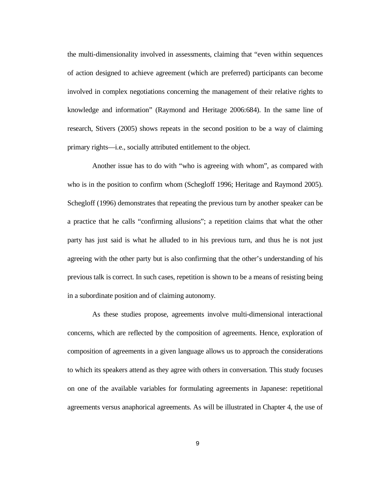the multi-dimensionality involved in assessments, claiming that "even within sequences of action designed to achieve agreement (which are preferred) participants can become involved in complex negotiations concerning the management of their relative rights to knowledge and information" (Raymond and Heritage 2006:684). In the same line of research, Stivers (2005) shows repeats in the second position to be a way of claiming primary rights—i.e., socially attributed entitlement to the object.

 Another issue has to do with "who is agreeing with whom", as compared with who is in the position to confirm whom (Schegloff 1996; Heritage and Raymond 2005). Schegloff (1996) demonstrates that repeating the previous turn by another speaker can be a practice that he calls "confirming allusions"; a repetition claims that what the other party has just said is what he alluded to in his previous turn, and thus he is not just agreeing with the other party but is also confirming that the other's understanding of his previous talk is correct. In such cases, repetition is shown to be a means of resisting being in a subordinate position and of claiming autonomy.

 As these studies propose, agreements involve multi-dimensional interactional concerns, which are reflected by the composition of agreements. Hence, exploration of composition of agreements in a given language allows us to approach the considerations to which its speakers attend as they agree with others in conversation. This study focuses on one of the available variables for formulating agreements in Japanese: repetitional agreements versus anaphorical agreements. As will be illustrated in Chapter 4, the use of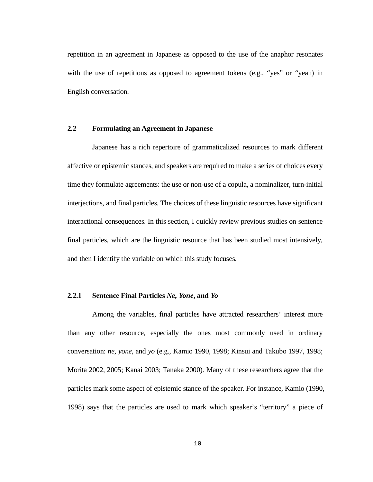repetition in an agreement in Japanese as opposed to the use of the anaphor resonates with the use of repetitions as opposed to agreement tokens (e.g., "yes" or "yeah) in English conversation.

# **2.2 Formulating an Agreement in Japanese**

 Japanese has a rich repertoire of grammaticalized resources to mark different affective or epistemic stances, and speakers are required to make a series of choices every time they formulate agreements: the use or non-use of a copula, a nominalizer, turn-initial interjections, and final particles. The choices of these linguistic resources have significant interactional consequences. In this section, I quickly review previous studies on sentence final particles, which are the linguistic resource that has been studied most intensively, and then I identify the variable on which this study focuses.

## **2.2.1 Sentence Final Particles** *Ne***,** *Yone***, and** *Yo*

 Among the variables, final particles have attracted researchers' interest more than any other resource, especially the ones most commonly used in ordinary conversation: *ne*, *yone*, and *yo* (e.g., Kamio 1990, 1998; Kinsui and Takubo 1997, 1998; Morita 2002, 2005; Kanai 2003; Tanaka 2000). Many of these researchers agree that the particles mark some aspect of epistemic stance of the speaker. For instance, Kamio (1990, 1998) says that the particles are used to mark which speaker's "territory" a piece of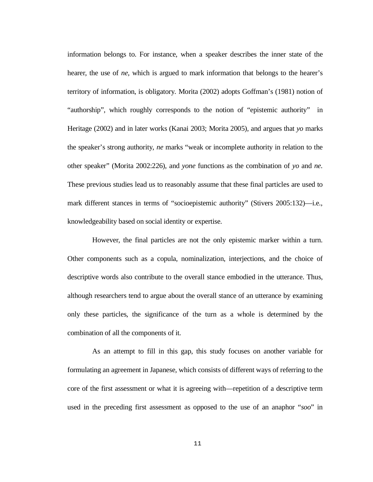information belongs to. For instance, when a speaker describes the inner state of the hearer, the use of *ne*, which is argued to mark information that belongs to the hearer's territory of information, is obligatory. Morita (2002) adopts Goffman's (1981) notion of "authorship", which roughly corresponds to the notion of "epistemic authority" in Heritage (2002) and in later works (Kanai 2003; Morita 2005), and argues that *yo* marks the speaker's strong authority, *ne* marks "weak or incomplete authority in relation to the other speaker" (Morita 2002:226), and *yone* functions as the combination of *yo* and *ne*. These previous studies lead us to reasonably assume that these final particles are used to mark different stances in terms of "socioepistemic authority" (Stivers 2005:132)—i.e., knowledgeability based on social identity or expertise.

 However, the final particles are not the only epistemic marker within a turn. Other components such as a copula, nominalization, interjections, and the choice of descriptive words also contribute to the overall stance embodied in the utterance. Thus, although researchers tend to argue about the overall stance of an utterance by examining only these particles, the significance of the turn as a whole is determined by the combination of all the components of it.

 As an attempt to fill in this gap, this study focuses on another variable for formulating an agreement in Japanese, which consists of different ways of referring to the core of the first assessment or what it is agreeing with—repetition of a descriptive term used in the preceding first assessment as opposed to the use of an anaphor "*soo*" in

11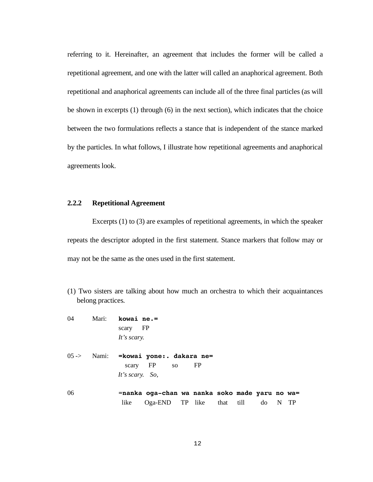referring to it. Hereinafter, an agreement that includes the former will be called a repetitional agreement, and one with the latter will called an anaphorical agreement. Both repetitional and anaphorical agreements can include all of the three final particles (as will be shown in excerpts (1) through (6) in the next section), which indicates that the choice between the two formulations reflects a stance that is independent of the stance marked by the particles. In what follows, I illustrate how repetitional agreements and anaphorical agreements look.

### **2.2.2 Repetitional Agreement**

 Excerpts (1) to (3) are examples of repetitional agreements, in which the speaker repeats the descriptor adopted in the first statement. Stance markers that follow may or may not be the same as the ones used in the first statement.

(1) Two sisters are talking about how much an orchestra to which their acquaintances belong practices.

| 04               | Mari: | kowai ne.=                                             |
|------------------|-------|--------------------------------------------------------|
|                  |       | scary FP                                               |
|                  |       | It's scary.                                            |
| $05 \rightarrow$ |       | Nami: = kowai yone: . dakara ne=                       |
|                  |       | scary FP so<br>FP                                      |
|                  |       | It's scary. So,                                        |
|                  |       |                                                        |
| 06               |       | =nanka oga-chan wa nanka soko made yaru no wa=         |
|                  |       | Oga-END TP like that till<br>- TP<br>like<br>do<br>- N |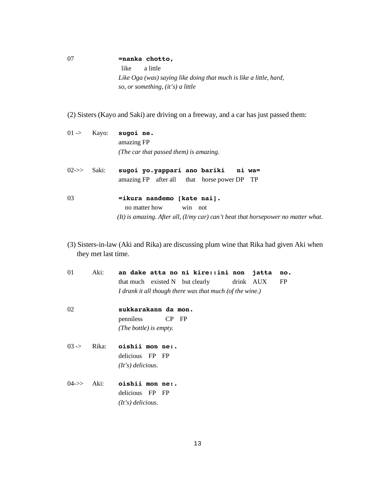07 **=nanka chotto,** like a little *Like Oga (was) saying like doing that much is like a little, hard, so, or something, (it's) a little*

(2) Sisters (Kayo and Saki) are driving on a freeway, and a car has just passed them:

|                          | $01 \rightarrow$ Kayo: | sugoi ne.                                                                         |
|--------------------------|------------------------|-----------------------------------------------------------------------------------|
|                          |                        | amazing FP                                                                        |
|                          |                        | (The car that passed them) is amazing.                                            |
| $02 \rightarrow >$ Saki: |                        | sugoi yo.yappari ano bariki ni wa=<br>amazing FP after all that horse power DP TP |

03 **=ikura nandemo [kate nai].** no matter how win not *(It) is amazing. After all, (I/my car) can't beat that horsepower no matter what.* 

(3) Sisters-in-law (Aki and Rika) are discussing plum wine that Rika had given Aki when they met last time.

| 01               | Aki:  |                        |           | an dake atta no ni kire::ini non                         |           | jatta | no. |
|------------------|-------|------------------------|-----------|----------------------------------------------------------|-----------|-------|-----|
|                  |       |                        |           | that much existed N but clearly                          | drink AUX |       | FP  |
|                  |       |                        |           | I drank it all though there was that much (of the wine.) |           |       |     |
| 02               |       | sukkarakann da mon.    |           |                                                          |           |       |     |
|                  |       | penniless              | $CP$ $FP$ |                                                          |           |       |     |
|                  |       | (The bottle) is empty. |           |                                                          |           |       |     |
| $03 -$           | Rika: | oishii mon ne:.        |           |                                                          |           |       |     |
|                  |       | delicious FP FP        |           |                                                          |           |       |     |
|                  |       | $(It's)$ delicious.    |           |                                                          |           |       |     |
| $04 \rightarrow$ | Aki:  | oishii mon ne:.        |           |                                                          |           |       |     |
|                  |       | delicious FP FP        |           |                                                          |           |       |     |
|                  |       | $(It's)$ delicious.    |           |                                                          |           |       |     |
|                  |       |                        |           |                                                          |           |       |     |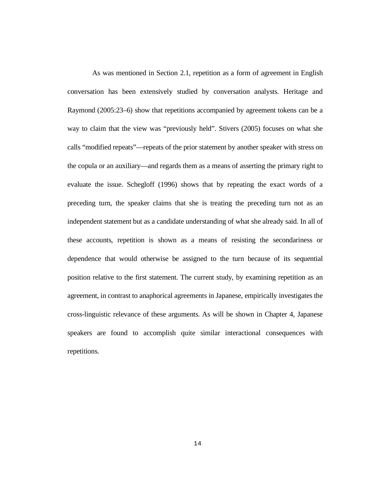As was mentioned in Section 2.1, repetition as a form of agreement in English conversation has been extensively studied by conversation analysts. Heritage and Raymond (2005:23–6) show that repetitions accompanied by agreement tokens can be a way to claim that the view was "previously held". Stivers (2005) focuses on what she calls "modified repeats"—repeats of the prior statement by another speaker with stress on the copula or an auxiliary—and regards them as a means of asserting the primary right to evaluate the issue. Schegloff (1996) shows that by repeating the exact words of a preceding turn, the speaker claims that she is treating the preceding turn not as an independent statement but as a candidate understanding of what she already said. In all of these accounts, repetition is shown as a means of resisting the secondariness or dependence that would otherwise be assigned to the turn because of its sequential position relative to the first statement. The current study, by examining repetition as an agreement, in contrast to anaphorical agreements in Japanese, empirically investigates the cross-linguistic relevance of these arguments. As will be shown in Chapter 4, Japanese speakers are found to accomplish quite similar interactional consequences with repetitions.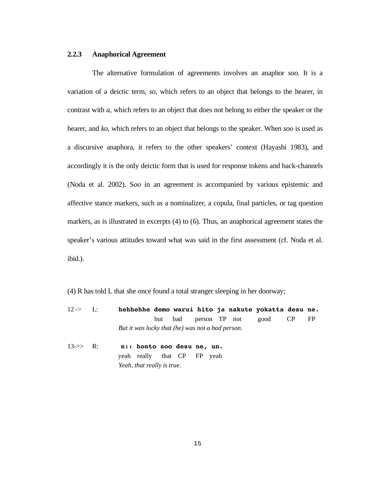## **2.2.3 Anaphorical Agreement**

 The alternative formulation of agreements involves an anaphor *soo*. It is a variation of a deictic term, *so*, which refers to an object that belongs to the hearer, in contrast with *a*, which refers to an object that does not belong to either the speaker or the hearer, and *ko*, which refers to an object that belongs to the speaker. When *soo* is used as a discursive anaphora, it refers to the other speakers' context (Hayashi 1983), and accordingly it is the only deictic form that is used for response tokens and back-channels (Noda et al. 2002). S*oo* in an agreement is accompanied by various epistemic and affective stance markers, such as a nominalizer, a copula, final particles, or tag question markers, as is illustrated in excerpts (4) to (6). Thus, an anaphorical agreement states the speaker's various attitudes toward what was said in the first assessment (cf. Noda et al. ibid.).

(4) R has told L that she once found a total stranger sleeping in her doorway;

- 12 -> L: **hehhehhe demo warui hito ja nakute yokatta desu ne.**  but bad person TP not good CP FP *But it was lucky that (he) was not a bad person.*
- 13->> R: **n:: honto soo desu ne, un.**  yeah really that CP FP yeah *Yeah, that really is true.*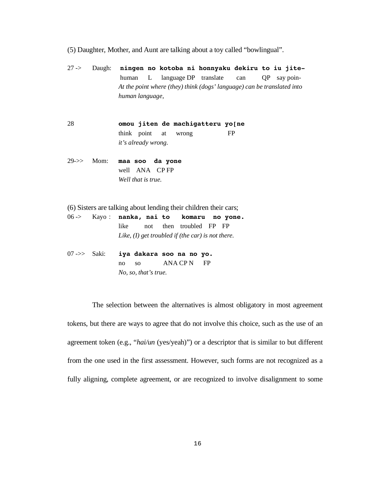- (5) Daughter, Mother, and Aunt are talking about a toy called "bowlingual".
- 27 -> Daugh: **ningen no kotoba ni honnyaku dekiru to iu jite** human L language DP translate can QP say poin-  *At the point where (they) think (dogs' language) can be translated into human language,*
- 28 **omou jiten de machigatteru yo[ne**  think point at wrong FP *it's already wrong.*
- 29->> Mom: **maa soo da yone**  well ANA CP FP *Well that is true.*
- (6) Sisters are talking about lending their children their cars;
- 06 -> Kayo **nanka, nai to komaru no yone.**  like not then troubled FP FP *Like, (I) get troubled if (the car) is not there.*
- 07 ->> Saki: **iya dakara soo na no yo.**  no so ANA CP N FP *No, so, that's true.*

 The selection between the alternatives is almost obligatory in most agreement tokens, but there are ways to agree that do not involve this choice, such as the use of an agreement token (e.g., "*hai/un* (yes/yeah)") or a descriptor that is similar to but different from the one used in the first assessment. However, such forms are not recognized as a fully aligning, complete agreement, or are recognized to involve disalignment to some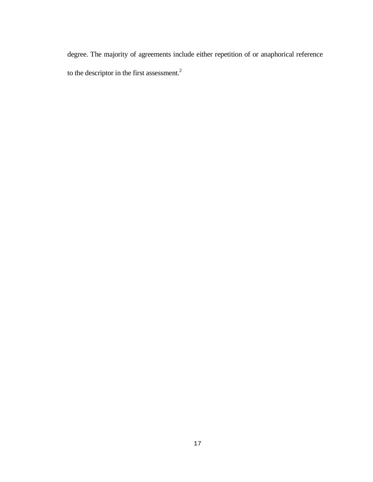degree. The majority of agreements include either repetition of or anaphorical reference to the descriptor in the first assessment.<sup>2</sup>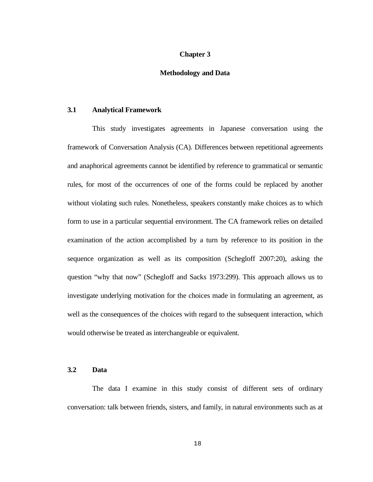# **Chapter 3**

### **Methodology and Data**

### **3.1 Analytical Framework**

 This study investigates agreements in Japanese conversation using the framework of Conversation Analysis (CA). Differences between repetitional agreements and anaphorical agreements cannot be identified by reference to grammatical or semantic rules, for most of the occurrences of one of the forms could be replaced by another without violating such rules. Nonetheless, speakers constantly make choices as to which form to use in a particular sequential environment. The CA framework relies on detailed examination of the action accomplished by a turn by reference to its position in the sequence organization as well as its composition (Schegloff 2007:20), asking the question "why that now" (Schegloff and Sacks 1973:299). This approach allows us to investigate underlying motivation for the choices made in formulating an agreement, as well as the consequences of the choices with regard to the subsequent interaction, which would otherwise be treated as interchangeable or equivalent.

# **3.2 Data**

 The data I examine in this study consist of different sets of ordinary conversation: talk between friends, sisters, and family, in natural environments such as at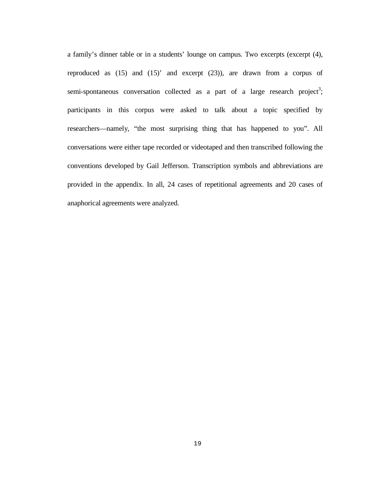a family's dinner table or in a students' lounge on campus. Two excerpts (excerpt  $(4)$ , reproduced as (15) and (15)' and excerpt (23)), are drawn from a corpus of semi-spontaneous conversation collected as a part of a large research project<sup>3</sup>; participants in this corpus were asked to talk about a topic specified by researchers—namely, "the most surprising thing that has happened to you". All conversations were either tape recorded or videotaped and then transcribed following the conventions developed by Gail Jefferson. Transcription symbols and abbreviations are provided in the appendix. In all, 24 cases of repetitional agreements and 20 cases of anaphorical agreements were analyzed.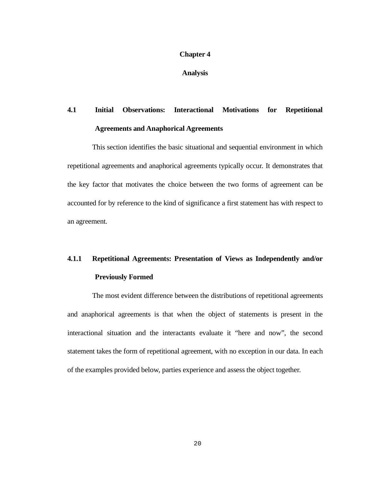## **Chapter 4**

**Analysis** 

# **4.1 Initial Observations: Interactional Motivations for Repetitional Agreements and Anaphorical Agreements**

 This section identifies the basic situational and sequential environment in which repetitional agreements and anaphorical agreements typically occur. It demonstrates that the key factor that motivates the choice between the two forms of agreement can be accounted for by reference to the kind of significance a first statement has with respect to an agreement.

# **4.1.1 Repetitional Agreements: Presentation of Views as Independently and/or Previously Formed**

 The most evident difference between the distributions of repetitional agreements and anaphorical agreements is that when the object of statements is present in the interactional situation and the interactants evaluate it "here and now", the second statement takes the form of repetitional agreement, with no exception in our data. In each of the examples provided below, parties experience and assess the object together.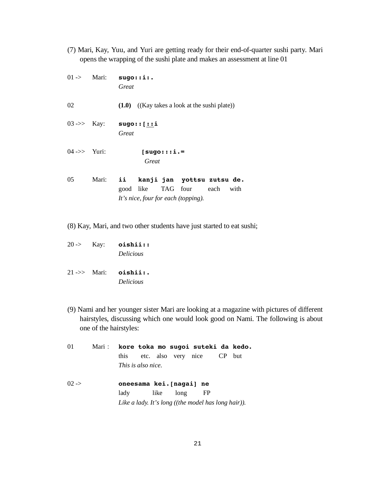(7) Mari, Kay, Yuu, and Yuri are getting ready for their end-of-quarter sushi party. Mari opens the wrapping of the sushi plate and makes an assessment at line 01

|                        |       | $01$ -> Mari: sugo::i:.<br>Great                                                                        |
|------------------------|-------|---------------------------------------------------------------------------------------------------------|
| 02                     |       | $(1.0)$ $((\text{Kay takes a look at the subi plate}))$                                                 |
|                        |       | 03->> Kay: $\text{sugo}:$ [::1]<br>Great                                                                |
| $04 \rightarrow$ Yuri: |       | $[sugo:::i. =$<br>Great                                                                                 |
| 05                     | Mari: | ii kanji jan yottsu zutsu de.<br>good like TAG four each<br>with<br>It's nice, four for each (topping). |

(8) Kay, Mari, and two other students have just started to eat sushi;

20 -> Kay: **oishii::** *Delicious* 

21 ->> Mari: **oishii:.** *Delicious*

- (9) Nami and her younger sister Mari are looking at a magazine with pictures of different hairstyles, discussing which one would look good on Nami. The following is about one of the hairstyles:
- 01 Mari **kore toka mo sugoi suteki da kedo.** this etc. also very nice CP but *This is also nice.*  02 -> **oneesama kei.[nagai] ne** lady like long FP *Like a lady. It's long ((the model has long hair)).*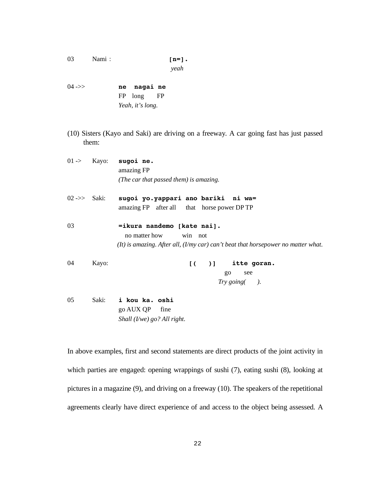- 03 Nami **:**  $[n=]$ . *yeah*
- 04 ->> **ne nagai ne** FP long FP *Yeah, it's long.*
- (10) Sisters (Kayo and Saki) are driving on a freeway. A car going fast has just passed them:

|                          | $01 \rightarrow$ Kayo: | sugoi ne.<br>amazing FP<br>(The car that passed them) is amazing.                                                                               |
|--------------------------|------------------------|-------------------------------------------------------------------------------------------------------------------------------------------------|
| $02 \rightarrow >$ Saki: |                        | sugoi yo.yappari ano bariki ni wa=<br>amazing FP after all that horse power DP TP                                                               |
| 03                       |                        | =ikura nandemo [kate nai].<br>no matter how<br>win not<br>$(It)$ is amazing. After all, $(I/my car) can't beat that horsepower no matter what.$ |
| 04                       | Kayo:                  | $[$ $($ $)$ $]$ itte goran.<br>$g_{0}$<br>see<br>Try going().                                                                                   |
| 05                       | Saki:                  | i kou ka. oshi<br>go AUX QP fine<br>Shall $(I/we)$ go? All right.                                                                               |

In above examples, first and second statements are direct products of the joint activity in which parties are engaged: opening wrappings of sushi (7), eating sushi (8), looking at pictures in a magazine (9), and driving on a freeway (10). The speakers of the repetitional agreements clearly have direct experience of and access to the object being assessed. A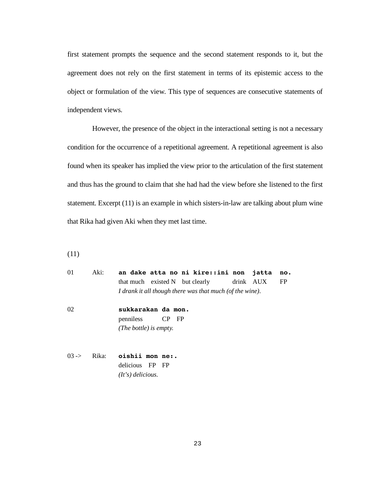first statement prompts the sequence and the second statement responds to it, but the agreement does not rely on the first statement in terms of its epistemic access to the object or formulation of the view. This type of sequences are consecutive statements of independent views.

 However, the presence of the object in the interactional setting is not a necessary condition for the occurrence of a repetitional agreement. A repetitional agreement is also found when its speaker has implied the view prior to the articulation of the first statement and thus has the ground to claim that she had had the view before she listened to the first statement. Excerpt (11) is an example in which sisters-in-law are talking about plum wine that Rika had given Aki when they met last time.

(11)

| $\Omega$ | Aki:  | an dake atta no ni kire::ini non jatta<br>no.            |
|----------|-------|----------------------------------------------------------|
|          |       | that much existed N but clearly drink AUX<br>FP          |
|          |       | I drank it all though there was that much (of the wine). |
| 02       |       | sukkarakan da mon.                                       |
|          |       | penniless CP FP                                          |
|          |       | (The bottle) is empty.                                   |
|          |       |                                                          |
| $03 -$   | Rika: | oishii mon ne:.                                          |

 delicious FP FP  *(It's) delicious.*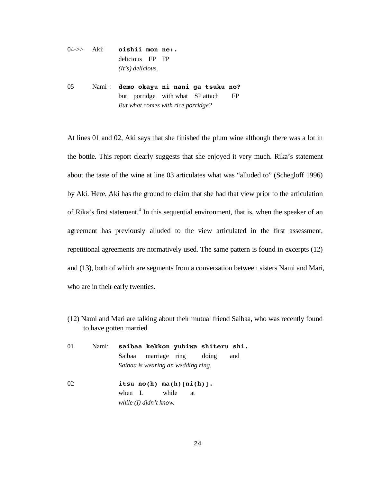# 04->> Aki: **oishii mon ne:.** delicious FP FP *(It's) delicious.*

05 Nami **demo okayu ni nani ga tsuku no?** but porridge with what SP attach FP  *But what comes with rice porridge?* 

At lines 01 and 02, Aki says that she finished the plum wine although there was a lot in the bottle. This report clearly suggests that she enjoyed it very much. Rika's statement about the taste of the wine at line 03 articulates what was "alluded to" (Schegloff 1996) by Aki. Here, Aki has the ground to claim that she had that view prior to the articulation of Rika's first statement.<sup>4</sup> In this sequential environment, that is, when the speaker of an agreement has previously alluded to the view articulated in the first assessment, repetitional agreements are normatively used. The same pattern is found in excerpts (12) and (13), both of which are segments from a conversation between sisters Nami and Mari, who are in their early twenties.

(12) Nami and Mari are talking about their mutual friend Saibaa, who was recently found to have gotten married

| 01 | Nami: |        |                                    |    | saibaa kekkon yubiwa shiteru shi. |     |
|----|-------|--------|------------------------------------|----|-----------------------------------|-----|
|    |       |        | Saibaa marriage ring               |    | doing                             | and |
|    |       |        | Saibaa is wearing an wedding ring. |    |                                   |     |
| 02 |       |        | itsu $no(h)$ $ma(h)$ $[ni(h)]$ .   |    |                                   |     |
|    |       | when L | while                              | at |                                   |     |
|    |       |        | while $(I)$ didn't know.           |    |                                   |     |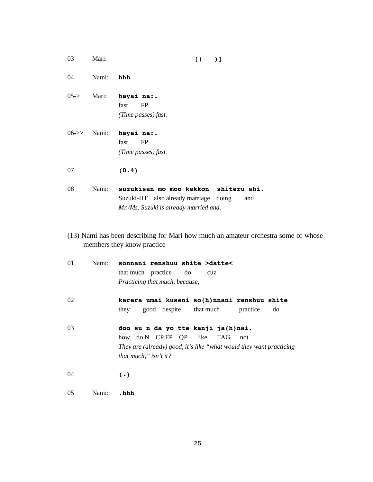| 03               | Mari: | $\overline{1}$<br>$)$ ]                                                                                                        |
|------------------|-------|--------------------------------------------------------------------------------------------------------------------------------|
| 04               | Nami: | hhh                                                                                                                            |
| $05 - > 0$       | Mari: | hayai na:.<br>fast<br>FP<br>(Time passes) fast.                                                                                |
| $06 \rightarrow$ | Nami: | hayai na:.<br>fast<br>FP<br>(Time passes) fast.                                                                                |
| 07               |       | (0.4)                                                                                                                          |
| 08               | Nami: | suzukisan mo moo kekkon shiteru shi.<br>Suzuki-HT also already marriage doing<br>and<br>Mr./Ms. Suzuki is already married and. |

(13) Nami has been describing for Mari how much an amateur orchestra some of whose members they know practice

| 01 | Nami: | sonnani renshuu shite >datte<<br>that much practice do<br>cuz<br>Practicing that much, because,                                                                        |
|----|-------|------------------------------------------------------------------------------------------------------------------------------------------------------------------------|
| 02 |       | karera umai kuseni so(h)nnani renshuu shite<br>good despite that much<br>practice<br>they<br>do                                                                        |
| 03 |       | doo su n da yo tte kanji ja(h)nai.<br>how do N CPFP QP like TAG<br>not<br>They are (already) good, it's like "what would they want practicing<br>that much," isn't it? |
| 04 |       | $(\cdot)$                                                                                                                                                              |
| 05 | Nami: | .hhh                                                                                                                                                                   |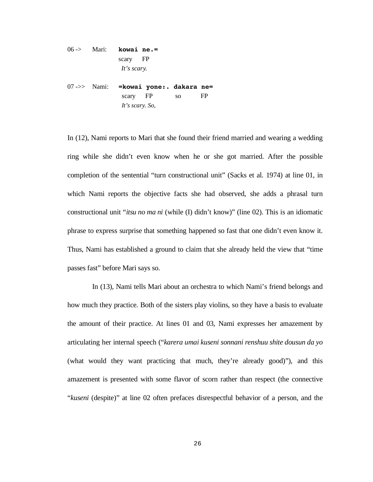06 -> Mari: **kowai ne.=** scary FP *It's scary.*  07 ->> Nami: **=kowai yone:. dakara ne=**

scary FP so FP *It's scary. So,* 

In (12), Nami reports to Mari that she found their friend married and wearing a wedding ring while she didn't even know when he or she got married. After the possible completion of the sentential "turn constructional unit" (Sacks et al. 1974) at line 01, in which Nami reports the objective facts she had observed, she adds a phrasal turn constructional unit "*itsu no ma ni* (while (I) didn't know)" (line 02). This is an idiomatic phrase to express surprise that something happened so fast that one didn't even know it. Thus, Nami has established a ground to claim that she already held the view that "time passes fast" before Mari says so.

 In (13), Nami tells Mari about an orchestra to which Nami's friend belongs and how much they practice. Both of the sisters play violins, so they have a basis to evaluate the amount of their practice. At lines 01 and 03, Nami expresses her amazement by articulating her internal speech ("*karera umai kuseni sonnani renshuu shite dousun da yo* (what would they want practicing that much, they're already good)"), and this amazement is presented with some flavor of scorn rather than respect (the connective "*kuseni* (despite)" at line 02 often prefaces disrespectful behavior of a person, and the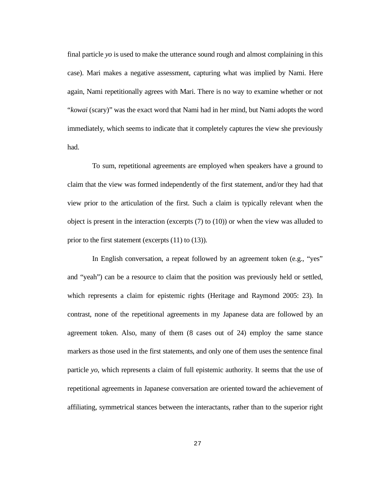final particle *yo* is used to make the utterance sound rough and almost complaining in this case). Mari makes a negative assessment, capturing what was implied by Nami. Here again, Nami repetitionally agrees with Mari. There is no way to examine whether or not "*kowai* (scary)" was the exact word that Nami had in her mind, but Nami adopts the word immediately, which seems to indicate that it completely captures the view she previously had.

 To sum, repetitional agreements are employed when speakers have a ground to claim that the view was formed independently of the first statement, and/or they had that view prior to the articulation of the first. Such a claim is typically relevant when the object is present in the interaction (excerpts (7) to (10)) or when the view was alluded to prior to the first statement (excerpts (11) to (13)).

 In English conversation, a repeat followed by an agreement token (e.g., "yes" and "yeah") can be a resource to claim that the position was previously held or settled, which represents a claim for epistemic rights (Heritage and Raymond 2005: 23). In contrast, none of the repetitional agreements in my Japanese data are followed by an agreement token. Also, many of them (8 cases out of 24) employ the same stance markers as those used in the first statements, and only one of them uses the sentence final particle *yo*, which represents a claim of full epistemic authority. It seems that the use of repetitional agreements in Japanese conversation are oriented toward the achievement of affiliating, symmetrical stances between the interactants, rather than to the superior right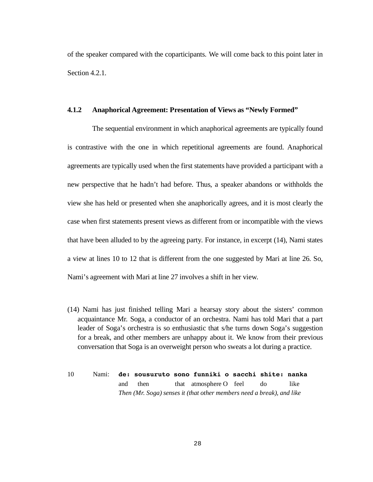of the speaker compared with the coparticipants. We will come back to this point later in Section 4.2.1.

### **4.1.2 Anaphorical Agreement: Presentation of Views as "Newly Formed"**

 The sequential environment in which anaphorical agreements are typically found is contrastive with the one in which repetitional agreements are found. Anaphorical agreements are typically used when the first statements have provided a participant with a new perspective that he hadn't had before. Thus, a speaker abandons or withholds the view she has held or presented when she anaphorically agrees, and it is most clearly the case when first statements present views as different from or incompatible with the views that have been alluded to by the agreeing party. For instance, in excerpt (14), Nami states a view at lines 10 to 12 that is different from the one suggested by Mari at line 26. So, Nami's agreement with Mari at line 27 involves a shift in her view.

- (14) Nami has just finished telling Mari a hearsay story about the sisters' common acquaintance Mr. Soga, a conductor of an orchestra. Nami has told Mari that a part leader of Soga's orchestra is so enthusiastic that s/he turns down Soga's suggestion for a break, and other members are unhappy about it. We know from their previous conversation that Soga is an overweight person who sweats a lot during a practice.
- 10 Nami: **de: sousuruto sono funniki o sacchi shite: nanka**  and then that atmosphere O feel do like *Then (Mr. Soga) senses it (that other members need a break), and like*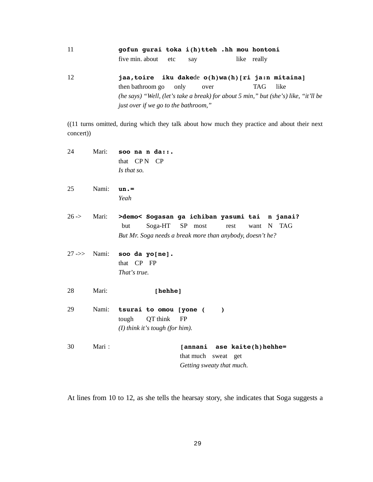| 11 | gofun gurai toka i(h)tteh .hh mou hontoni |     |  |             |
|----|-------------------------------------------|-----|--|-------------|
|    | five min. about etc                       | say |  | like really |

12 **jaa,toire iku dake**de **o(h)wa(h)[ri ja:n mitaina]** then bathroom go only over TAG like  *(he says) "Well, (let's take a break) for about 5 min," but (she's) like, "it'll be just over if we go to the bathroom,"* 

((11 turns omitted, during which they talk about how much they practice and about their next concert))

| 24         | Mari: | soo na n da: $:$ .<br>that $CPN$<br>- CP<br>Is that so.                                                                                                       |
|------------|-------|---------------------------------------------------------------------------------------------------------------------------------------------------------------|
| 25         | Nami: | $un.-$<br>Yeah                                                                                                                                                |
| $26 - \ge$ | Mari: | >demo< Sogasan ga ichiban yasumi tai n janai?<br>Soga-HT SP most<br>N TAG<br>but<br>rest<br>want<br>But Mr. Soga needs a break more than anybody, doesn't he? |
|            |       | $27 \rightarrow >$ Nami: soo da yo[ne].<br>that CP FP<br>That's true.                                                                                         |
| 28         | Mari: | [hehhe]                                                                                                                                                       |
| 29         |       | Nami: tsurai to omou [yone (<br>$\lambda$<br>QT think<br>tough<br><b>FP</b><br>$(I)$ think it's tough (for him).                                              |
| 30         | Mari: | [annani ase kaite(h)hehhe=<br>that much sweat get<br>Getting sweaty that much.                                                                                |

At lines from 10 to 12, as she tells the hearsay story, she indicates that Soga suggests a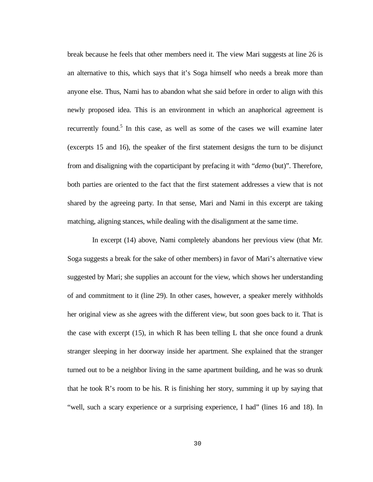break because he feels that other members need it. The view Mari suggests at line 26 is an alternative to this, which says that it's Soga himself who needs a break more than anyone else. Thus, Nami has to abandon what she said before in order to align with this newly proposed idea. This is an environment in which an anaphorical agreement is recurrently found.<sup>5</sup> In this case, as well as some of the cases we will examine later (excerpts 15 and 16), the speaker of the first statement designs the turn to be disjunct from and disaligning with the coparticipant by prefacing it with "*demo* (but)". Therefore, both parties are oriented to the fact that the first statement addresses a view that is not shared by the agreeing party. In that sense, Mari and Nami in this excerpt are taking matching, aligning stances, while dealing with the disalignment at the same time.

 In excerpt (14) above, Nami completely abandons her previous view (that Mr. Soga suggests a break for the sake of other members) in favor of Mari's alternative view suggested by Mari; she supplies an account for the view, which shows her understanding of and commitment to it (line 29). In other cases, however, a speaker merely withholds her original view as she agrees with the different view, but soon goes back to it. That is the case with excerpt (15), in which R has been telling L that she once found a drunk stranger sleeping in her doorway inside her apartment. She explained that the stranger turned out to be a neighbor living in the same apartment building, and he was so drunk that he took R's room to be his. R is finishing her story, summing it up by saying that "well, such a scary experience or a surprising experience, I had" (lines 16 and 18). In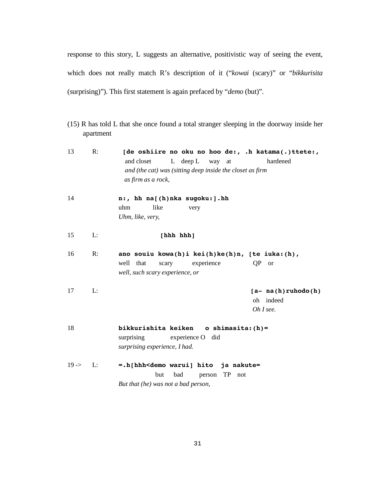response to this story, L suggests an alternative, positivistic way of seeing the event, which does not really match R's description of it ("*kowai* (scary)" or "*bikkurisita* (surprising)"). This first statement is again prefaced by "*demo* (but)".

(15) R has told L that she once found a total stranger sleeping in the doorway inside her apartment

| 13         | R:             | [de oshiire no oku no hoo de:, .h katama(.)ttete:,<br>L deep L way at<br>and closet<br>hardened<br>and (the cat) was (sitting deep inside the closet as firm<br>as firm as a rock, |
|------------|----------------|------------------------------------------------------------------------------------------------------------------------------------------------------------------------------------|
| 14         |                | n:, hh na[(h)nka sugoku:].hh<br>like<br>uhm<br>very<br>Uhm, like, very,                                                                                                            |
| 15         | L:             | [hhh hhh]                                                                                                                                                                          |
| 16         | $\mathbb{R}$ : | ano souiu kowa(h)i kei(h)ke(h)n, [te iuka:(h),<br>well that<br>experience<br>scary<br>QP or<br>well, such scary experience, or                                                     |
| 17         | L:             | $[a - na(h) ruhodo(h)]$<br>oh indeed<br>Oh I see.                                                                                                                                  |
| 18         |                | bikkurishita keiken o shimasita: (h)=<br>surprising experience O did<br>surprising experience, I had.                                                                              |
| $19 - > 1$ | $\mathbf{L}$ : | =.h[hhh <demo hito="" ja="" nakute="&lt;br" warui]="">but<br/>bad<br/>person TP not<br/>But that (he) was not a bad person,</demo>                                                 |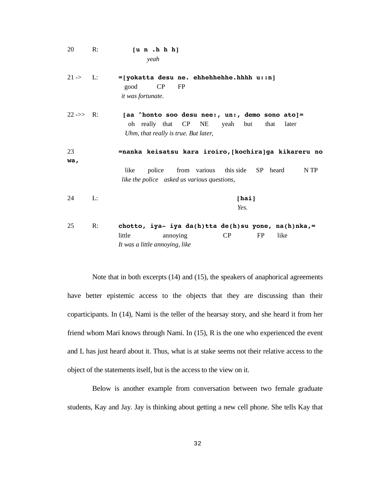20 R: **[u n .h h h]**   *yeah*  21 -> L: **=[yokatta desu ne. ehhehhehhe.hhhh u::n]** good CP FP  *it was fortunate.*  22 ->> R: **[aa ^honto soo desu nee:, un:, demo sono ato]=**  oh really that CP NE yeah but that later *Uhm, that really is true. But later,*  23 **=nanka keisatsu kara iroiro,[kochira]ga kikareru no wa,** 

*like the police asked us various questions,* 

like police from various this side SP heard N TP

- 24 L: **[hai]** *Yes.*
- 25 R: **chotto, iya- iya da(h)tta de(h)su yone, na(h)nka,=** little annoying CP FP like *It was a little annoying, like*

 Note that in both excerpts (14) and (15), the speakers of anaphorical agreements have better epistemic access to the objects that they are discussing than their coparticipants. In (14), Nami is the teller of the hearsay story, and she heard it from her friend whom Mari knows through Nami. In (15), R is the one who experienced the event and L has just heard about it. Thus, what is at stake seems not their relative access to the object of the statements itself, but is the access to the view on it.

 Below is another example from conversation between two female graduate students, Kay and Jay. Jay is thinking about getting a new cell phone. She tells Kay that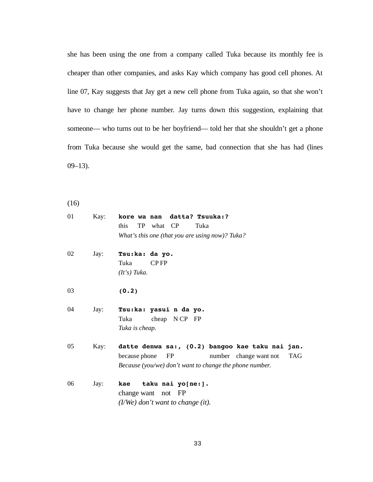she has been using the one from a company called Tuka because its monthly fee is cheaper than other companies, and asks Kay which company has good cell phones. At line 07, Kay suggests that Jay get a new cell phone from Tuka again, so that she won't have to change her phone number. Jay turns down this suggestion, explaining that someone— who turns out to be her boyfriend— told her that she shouldn't get a phone from Tuka because she would get the same, bad connection that she has had (lines  $09-13$ ).

(16)

| kore wa nan datta? Tsuuka:?                                                        |     |
|------------------------------------------------------------------------------------|-----|
| this<br>TP what CP<br>Tuka                                                         |     |
| What's this one (that you are using now)? Tuka?                                    |     |
| Tsu:ka: da yo.                                                                     |     |
| Tuka<br>CP <sub>FP</sub>                                                           |     |
| $(It's)$ Tuka.                                                                     |     |
| (0.2)                                                                              |     |
| Tsu:ka: yasui n da yo.                                                             |     |
| cheap $NCP$ FP<br>Tuka                                                             |     |
| Tuka is cheap.                                                                     |     |
|                                                                                    |     |
| datte denwa sa:, (0.2) bangoo kae taku nai jan.                                    |     |
| because phone<br>number change want not<br>FP                                      | TAG |
| Because (you/we) don't want to change the phone number.                            |     |
|                                                                                    |     |
|                                                                                    |     |
|                                                                                    |     |
| kae taku nai yo[ne:].<br>change want not FP<br>$(I/We)$ don't want to change (it). |     |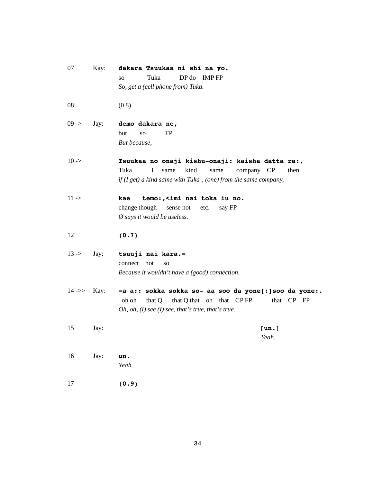| 07          | Kay:                              | dakara Tsuukaa ni shi na yo.<br>Tuka<br>DP do IMPFP<br><b>SO</b><br>So, get a (cell phone from) Tuka.                                                                           |
|-------------|-----------------------------------|---------------------------------------------------------------------------------------------------------------------------------------------------------------------------------|
| 08          |                                   | (0.8)                                                                                                                                                                           |
| $09 -$      | Jay:                              | demo dakara ne,<br>FP<br>but<br>SO.<br>But because,                                                                                                                             |
| $10 - \geq$ |                                   | Tsuukaa no onaji kishu-onaji: kaisha datta ra:,<br>Tuka<br>L<br>kind<br>same<br>company CP<br>same<br>then<br>if $(I get)$ a kind same with Tuka-, (one) from the same company, |
| $11 -$      |                                   | kae<br>temo:, <imi iu="" nai="" no.<br="" toka="">change though<br/>sense not<br/>say FP<br/>etc.<br/><math>\emptyset</math> says it would be useless.</imi>                    |
| 12          |                                   | (0.7)                                                                                                                                                                           |
| $13 - > 12$ | Jay:                              | tsuuji nai kara.=<br>connect not<br>SO.<br>Because it wouldn't have a (good) connection.                                                                                        |
|             | $14 \rightarrow \rightarrow$ Kay: | =a a:: sokka sokka so- aa soo da yone[: ] soo da yone:.<br>that Q that oh that CPFP<br>that CP FP<br>oh oh<br>that Q<br>Oh, oh, $(I)$ see $(I)$ see, that's true, that's true.  |
| 15          | Jay:                              | [un.]<br>Yeah.                                                                                                                                                                  |
| 16          | Jay:                              | un.<br>Yeah.                                                                                                                                                                    |
| 17          |                                   | (0.9)                                                                                                                                                                           |

34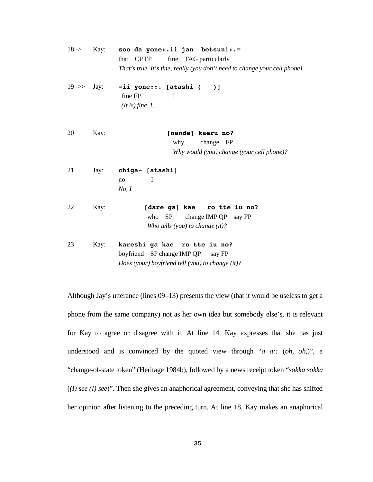| $18 - \ge 1$            | Kay: | soo da yone:.ii jan betsuni:.=<br>fine TAG particularly<br>CP <sub>FP</sub><br>that<br>That's true. It's fine, really (you don't need to change your cell phone). |
|-------------------------|------|-------------------------------------------------------------------------------------------------------------------------------------------------------------------|
| $19 \rightarrow >$ Jay: |      | =ii yone::. [atashi (<br>$\overline{\phantom{0}}$<br>fine FP<br>$\mathbf I$<br>(It is) fine. I,                                                                   |
| 20                      | Kay: | [nande] kaeru no?                                                                                                                                                 |
|                         |      | change FP<br>why                                                                                                                                                  |
|                         |      | Why would (you) change (your cell phone)?                                                                                                                         |
| 21                      | Jay: | chiga- [atashi]<br>I<br>no<br>No, I                                                                                                                               |
| 22                      | Kay: | [dare ga] kae<br>ro tte iu no?<br>who SP<br>change IMP QP say FP<br>Who tells (you) to change $(it)$ ?                                                            |
| 23                      | Kay: | kareshi ga kae ro tte iu no?<br>boyfriend SP change IMP QP say FP<br>Does (your) boyfriend tell (you) to change (it)?                                             |

Although Jay's utterance (lines 09–13) presents the view (that it would be useless to get a phone from the same company) not as her own idea but somebody else's, it is relevant for Kay to agree or disagree with it. At line 14, Kay expresses that she has just understood and is convinced by the quoted view through "*a a::* (*oh, oh,*)", a "change-of-state token" (Heritage 1984b), followed by a news receipt token "*sokka sokka* (*(I) see (I) see*)". Then she gives an anaphorical agreement, conveying that she has shifted her opinion after listening to the preceding turn. At line 18, Kay makes an anaphorical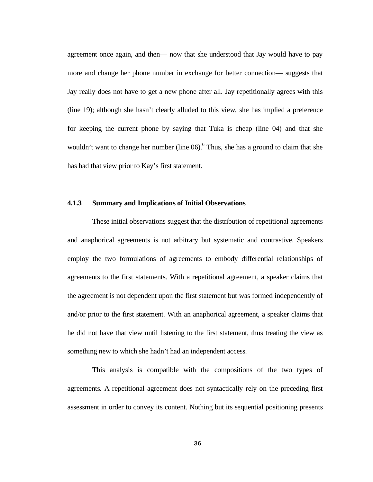agreement once again, and then— now that she understood that Jay would have to pay more and change her phone number in exchange for better connection— suggests that Jay really does not have to get a new phone after all. Jay repetitionally agrees with this (line 19); although she hasn't clearly alluded to this view, she has implied a preference for keeping the current phone by saying that Tuka is cheap (line 04) and that she wouldn't want to change her number (line  $06$ ).<sup>6</sup> Thus, she has a ground to claim that she has had that view prior to Kay's first statement.

### **4.1.3 Summary and Implications of Initial Observations**

 These initial observations suggest that the distribution of repetitional agreements and anaphorical agreements is not arbitrary but systematic and contrastive. Speakers employ the two formulations of agreements to embody differential relationships of agreements to the first statements. With a repetitional agreement, a speaker claims that the agreement is not dependent upon the first statement but was formed independently of and/or prior to the first statement. With an anaphorical agreement, a speaker claims that he did not have that view until listening to the first statement, thus treating the view as something new to which she hadn't had an independent access.

 This analysis is compatible with the compositions of the two types of agreements. A repetitional agreement does not syntactically rely on the preceding first assessment in order to convey its content. Nothing but its sequential positioning presents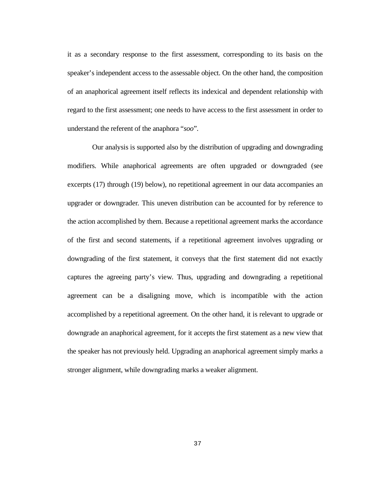it as a secondary response to the first assessment, corresponding to its basis on the speaker's independent access to the assessable object. On the other hand, the composition of an anaphorical agreement itself reflects its indexical and dependent relationship with regard to the first assessment; one needs to have access to the first assessment in order to understand the referent of the anaphora "*soo*".

 Our analysis is supported also by the distribution of upgrading and downgrading modifiers. While anaphorical agreements are often upgraded or downgraded (see excerpts (17) through (19) below), no repetitional agreement in our data accompanies an upgrader or downgrader. This uneven distribution can be accounted for by reference to the action accomplished by them. Because a repetitional agreement marks the accordance of the first and second statements, if a repetitional agreement involves upgrading or downgrading of the first statement, it conveys that the first statement did not exactly captures the agreeing party's view. Thus, upgrading and downgrading a repetitional agreement can be a disaligning move, which is incompatible with the action accomplished by a repetitional agreement. On the other hand, it is relevant to upgrade or downgrade an anaphorical agreement, for it accepts the first statement as a new view that the speaker has not previously held. Upgrading an anaphorical agreement simply marks a stronger alignment, while downgrading marks a weaker alignment.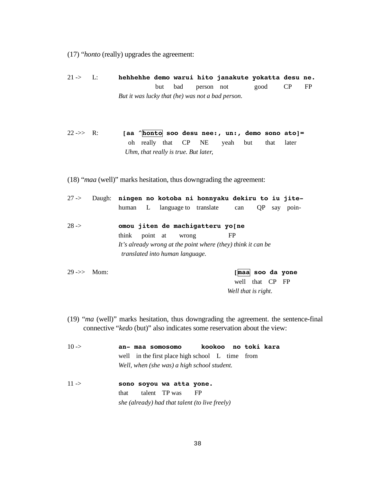- (17) "*honto* (really) upgrades the agreement:
- 21 -> L: **hehhehhe demo warui hito janakute yokatta desu ne.**  but bad person not good CP FP *But it was lucky that (he) was not a bad person.*
- 22 ->> R: **[aa ^honto soo desu nee:, un:, demo sono ato]=**  oh really that CP NE yeah but that later *Uhm, that really is true. But later,*
- (18) "*maa* (well)" marks hesitation, thus downgrading the agreement:
- 27 -> Daugh: **ningen no kotoba ni honnyaku dekiru to iu jite** human L language to translate can QP say poin-28 -> **omou jiten de machigatteru yo[ne**  think point at wrong FP *It's already wrong at the point where (they) think it can be translated into human language.*

29 ->> Mom: **[maa soo da yone** well that CP FP *Well that is right.* 

- (19) "*ma* (well)" marks hesitation, thus downgrading the agreement. the sentence-final connective "*kedo* (but)" also indicates some reservation about the view:
- 10 -> **an- maa somosomo kookoo no toki kara**  well in the first place high school L time from *Well, when (she was) a high school student.*  11 -> **sono soyou wa atta yone.** that talent TP was FP *she (already) had that talent (to live freely)*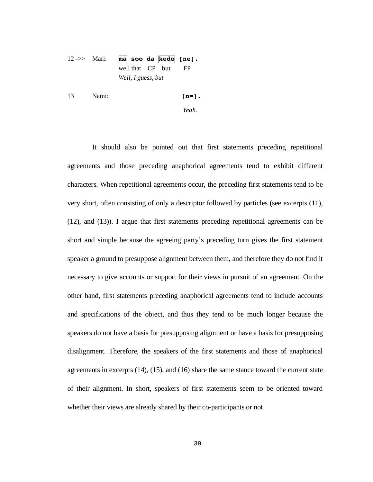# 12 ->> Mari: **ma soo da kedo [ne].** well that CP but FP *Well, I guess, but*

13 Nami: **[n=].** 

*Yeah.* 

 It should also be pointed out that first statements preceding repetitional agreements and those preceding anaphorical agreements tend to exhibit different characters. When repetitional agreements occur, the preceding first statements tend to be very short, often consisting of only a descriptor followed by particles (see excerpts (11), (12), and (13)). I argue that first statements preceding repetitional agreements can be short and simple because the agreeing party's preceding turn gives the first statement speaker a ground to presuppose alignment between them, and therefore they do not find it necessary to give accounts or support for their views in pursuit of an agreement. On the other hand, first statements preceding anaphorical agreements tend to include accounts and specifications of the object, and thus they tend to be much longer because the speakers do not have a basis for presupposing alignment or have a basis for presupposing disalignment. Therefore, the speakers of the first statements and those of anaphorical agreements in excerpts (14), (15), and (16) share the same stance toward the current state of their alignment. In short, speakers of first statements seem to be oriented toward whether their views are already shared by their co-participants or not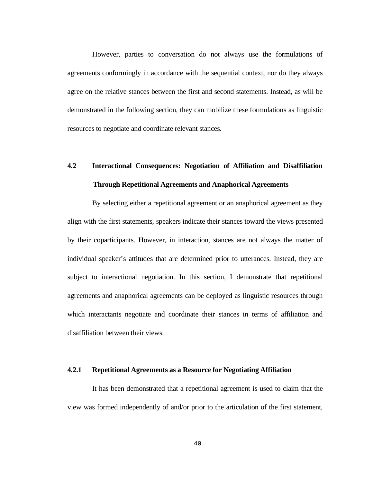However, parties to conversation do not always use the formulations of agreements conformingly in accordance with the sequential context, nor do they always agree on the relative stances between the first and second statements. Instead, as will be demonstrated in the following section, they can mobilize these formulations as linguistic resources to negotiate and coordinate relevant stances.

# **4.2 Interactional Consequences: Negotiation of Affiliation and Disaffiliation Through Repetitional Agreements and Anaphorical Agreements**

 By selecting either a repetitional agreement or an anaphorical agreement as they align with the first statements, speakers indicate their stances toward the views presented by their coparticipants. However, in interaction, stances are not always the matter of individual speaker's attitudes that are determined prior to utterances. Instead, they are subject to interactional negotiation. In this section, I demonstrate that repetitional agreements and anaphorical agreements can be deployed as linguistic resources through which interactants negotiate and coordinate their stances in terms of affiliation and disaffiliation between their views.

### **4.2.1 Repetitional Agreements as a Resource for Negotiating Affiliation**

 It has been demonstrated that a repetitional agreement is used to claim that the view was formed independently of and/or prior to the articulation of the first statement,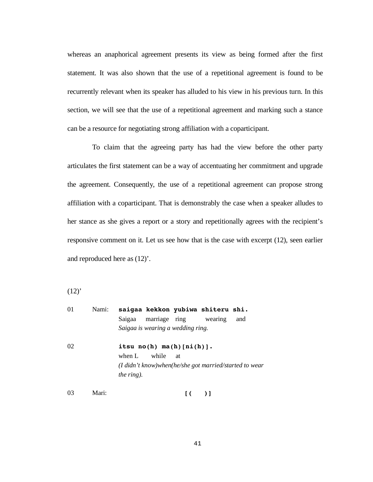whereas an anaphorical agreement presents its view as being formed after the first statement. It was also shown that the use of a repetitional agreement is found to be recurrently relevant when its speaker has alluded to his view in his previous turn. In this section, we will see that the use of a repetitional agreement and marking such a stance can be a resource for negotiating strong affiliation with a coparticipant.

 To claim that the agreeing party has had the view before the other party articulates the first statement can be a way of accentuating her commitment and upgrade the agreement. Consequently, the use of a repetitional agreement can propose strong affiliation with a coparticipant. That is demonstrably the case when a speaker alludes to her stance as she gives a report or a story and repetitionally agrees with the recipient's responsive comment on it. Let us see how that is the case with excerpt (12), seen earlier and reproduced here as (12)'.

 $(12)^{1}$ 

| 01 | Nami: | saigaa kekkon yubiwa shiteru shi.                      |
|----|-------|--------------------------------------------------------|
|    |       | marriage ring wearing<br>Saigaa<br>and                 |
|    |       | Saigaa is wearing a wedding ring.                      |
| 02 |       | itsu $no(h)$ $ma(h)$ $[ni(h)]$ .                       |
|    |       | when L<br>while<br>at                                  |
|    |       | (I didn't know)when(he/she got married/started to wear |
|    |       | <i>the ring</i> ).                                     |
| 03 | Mari: | $\begin{bmatrix} 1 & 1 \\ 1 & 1 \end{bmatrix}$         |

41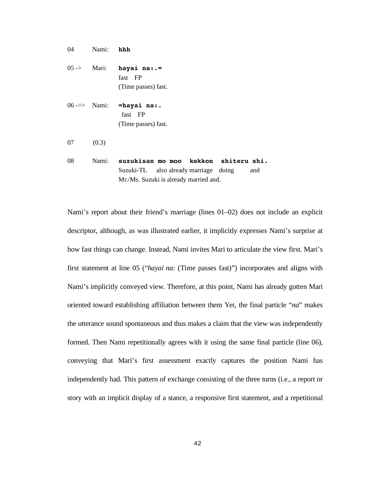04 Nami: **hhh**  05 -> Mari: **hayai na:.=**  fast FP (Time passes) fast. 06 ->> Nami: **=hayai na:.** fast FP (Time passes) fast. 07 (0.3) 08 Nami: **suzukisan mo moo kekkon shiteru shi.**

Suzuki-TL also already marriage doing and Mr./Ms. Suzuki is already married and.

Nami's report about their friend's marriage (lines 01–02) does not include an explicit descriptor, although, as was illustrated earlier, it implicitly expresses Nami's surprise at how fast things can change. Instead, Nami invites Mari to articulate the view first. Mari's first statement at line 05 ("*hayai na:* (Time passes fast)") incorporates and aligns with Nami's implicitly conveyed view. Therefore, at this point, Nami has already gotten Mari oriented toward establishing affiliation between them Yet, the final particle "*na*" makes the utterance sound spontaneous and thus makes a claim that the view was independently formed. Then Nami repetitionally agrees with it using the same final particle (line 06), conveying that Mari's first assessment exactly captures the position Nami has independently had. This pattern of exchange consisting of the three turns (i.e., a report or story with an implicit display of a stance, a responsive first statement, and a repetitional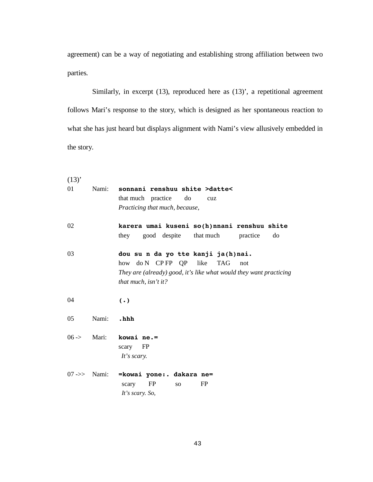agreement) can be a way of negotiating and establishing strong affiliation between two parties.

Similarly, in excerpt (13), reproduced here as (13)', a repetitional agreement follows Mari's response to the story, which is designed as her spontaneous reaction to what she has just heard but displays alignment with Nami's view allusively embedded in the story.

| (13)         |       |                                                                                                                                                                      |
|--------------|-------|----------------------------------------------------------------------------------------------------------------------------------------------------------------------|
| 01           | Nami: | sonnani renshuu shite >datte<<br>that much practice<br>do<br>cuz<br>Practicing that much, because,                                                                   |
| 02           |       | karera umai kuseni so(h)nnani renshuu shite<br>good despite that much<br>practice<br>they<br>do                                                                      |
| 03           |       | dou su n da yo tte kanji ja(h)nai.<br>how do N CPFP QP like<br>TAG not<br>They are (already) good, it's like what would they want practicing<br>that much, isn't it? |
| 04           |       | $(\cdot)$                                                                                                                                                            |
| 05           | Nami: | .hhh                                                                                                                                                                 |
| $06 - \ge 0$ | Mari: | kowai ne.=<br>FP<br>scary<br>It's scary.                                                                                                                             |
|              |       | 07->> Nami: = kowai yone:. dakara ne=<br><b>FP</b><br>FP<br>scary<br>SO <sub>2</sub><br>It's scary. So,                                                              |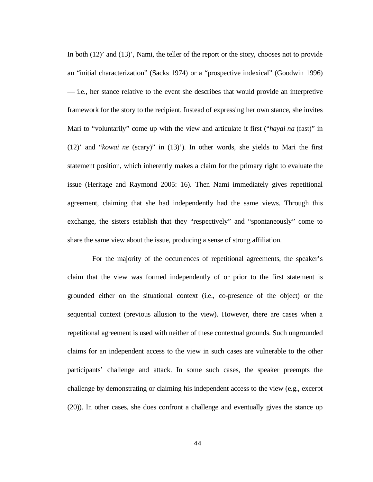In both (12)' and (13)', Nami, the teller of the report or the story, chooses not to provide an "initial characterization" (Sacks 1974) or a "prospective indexical" (Goodwin 1996) — i.e., her stance relative to the event she describes that would provide an interpretive framework for the story to the recipient. Instead of expressing her own stance, she invites Mari to "voluntarily" come up with the view and articulate it first ("*hayai na* (fast)" in (12)' and "*kowai ne* (scary)" in (13)'). In other words, she yields to Mari the first statement position, which inherently makes a claim for the primary right to evaluate the issue (Heritage and Raymond 2005: 16). Then Nami immediately gives repetitional agreement, claiming that she had independently had the same views. Through this exchange, the sisters establish that they "respectively" and "spontaneously" come to share the same view about the issue, producing a sense of strong affiliation.

 For the majority of the occurrences of repetitional agreements, the speaker's claim that the view was formed independently of or prior to the first statement is grounded either on the situational context (i.e., co-presence of the object) or the sequential context (previous allusion to the view). However, there are cases when a repetitional agreement is used with neither of these contextual grounds. Such ungrounded claims for an independent access to the view in such cases are vulnerable to the other participants' challenge and attack. In some such cases, the speaker preempts the challenge by demonstrating or claiming his independent access to the view (e.g., excerpt (20)). In other cases, she does confront a challenge and eventually gives the stance up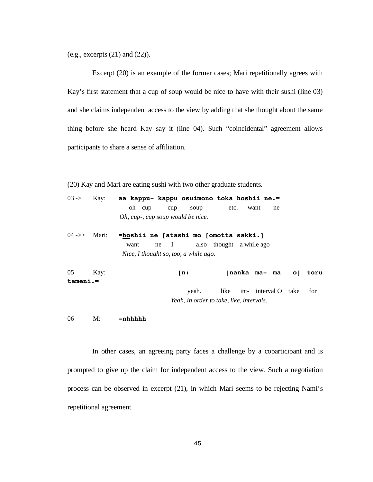(e.g., excerpts (21) and (22)).

 Excerpt (20) is an example of the former cases; Mari repetitionally agrees with Kay's first statement that a cup of soup would be nice to have with their sushi (line 03) and she claims independent access to the view by adding that she thought about the same thing before she heard Kay say it (line 04). Such "coincidental" agreement allows participants to share a sense of affiliation.

(20) Kay and Mari are eating sushi with two other graduate students.

|  |  | $03 \rightarrow$ Kay: aa kappu- kappu osuimono toka hoshii ne.= |              |  |
|--|--|-----------------------------------------------------------------|--------------|--|
|  |  | oh cup cup soup                                                 | etc. want ne |  |
|  |  | Oh, cup-, cup soup would be nice.                               |              |  |

04 ->> Mari: **=hoshii ne [atashi mo [omotta sakki.]**  want ne I also thought a while ago *Nice, I thought so, too, a while ago.* 

| 05       | Kav: | rn:   |                                          | [nanka ma-ma o] toru          |  |
|----------|------|-------|------------------------------------------|-------------------------------|--|
| tameni.= |      |       |                                          |                               |  |
|          |      | veah. |                                          | like int- interval O take for |  |
|          |      |       | Yeah, in order to take, like, intervals. |                               |  |

06 M: **=nhhhhh** 

 In other cases, an agreeing party faces a challenge by a coparticipant and is prompted to give up the claim for independent access to the view. Such a negotiation process can be observed in excerpt (21), in which Mari seems to be rejecting Nami's repetitional agreement.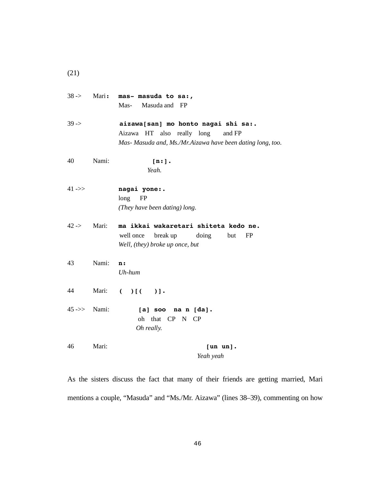|                        |       | $38 \rightarrow$ Mari: mas- masuda to sa:,<br>Mas-<br>Masuda and FP                                                                       |
|------------------------|-------|-------------------------------------------------------------------------------------------------------------------------------------------|
| $39 -$                 |       | aizawa[san] mo honto nagai shi sa:.<br>Aizawa HT also really long<br>and FP<br>Mas- Masuda and, Ms./Mr.Aizawa have been dating long, too. |
| 40                     | Nami: | [n:].<br>Yeah.                                                                                                                            |
| 41 - $>$               |       | nagai yone:.<br>$long$ FP<br>(They have been dating) long.                                                                                |
| $42 -$                 | Mari: | ma ikkai wakaretari shiteta kedo ne.<br>well once break up doing<br>but<br>FP<br>Well, (they) broke up once, but                          |
| 43                     | Nami: | n:<br>$Uh-hum$                                                                                                                            |
| 44                     | Mari: | ( )[( )]                                                                                                                                  |
| $45 \rightarrow$ Nami: |       | [a] soo na n [da].<br>oh that CP N CP<br>Oh really.                                                                                       |
| 46                     | Mari: | [un un].<br>Yeah yeah                                                                                                                     |

(21)

As the sisters discuss the fact that many of their friends are getting married, Mari mentions a couple, "Masuda" and "Ms./Mr. Aizawa" (lines 38–39), commenting on how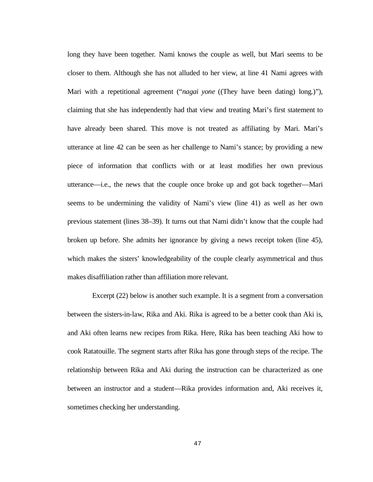long they have been together. Nami knows the couple as well, but Mari seems to be closer to them. Although she has not alluded to her view, at line 41 Nami agrees with Mari with a repetitional agreement ("*nagai yone* ((They have been dating) long*.*)"), claiming that she has independently had that view and treating Mari's first statement to have already been shared. This move is not treated as affiliating by Mari. Mari's utterance at line 42 can be seen as her challenge to Nami's stance; by providing a new piece of information that conflicts with or at least modifies her own previous utterance—i.e., the news that the couple once broke up and got back together—Mari seems to be undermining the validity of Nami's view (line 41) as well as her own previous statement (lines 38–39). It turns out that Nami didn't know that the couple had broken up before. She admits her ignorance by giving a news receipt token (line 45), which makes the sisters' knowledgeability of the couple clearly asymmetrical and thus makes disaffiliation rather than affiliation more relevant.

 Excerpt (22) below is another such example. It is a segment from a conversation between the sisters-in-law, Rika and Aki. Rika is agreed to be a better cook than Aki is, and Aki often learns new recipes from Rika. Here, Rika has been teaching Aki how to cook Ratatouille. The segment starts after Rika has gone through steps of the recipe. The relationship between Rika and Aki during the instruction can be characterized as one between an instructor and a student—Rika provides information and, Aki receives it, sometimes checking her understanding.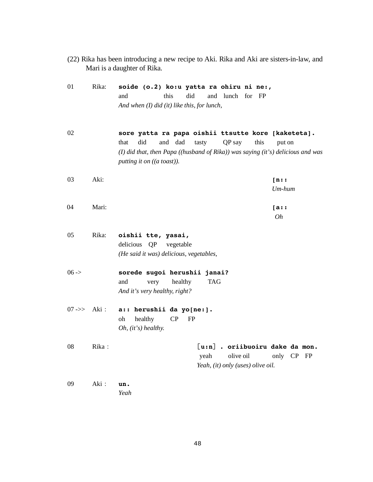| (22) Rika has been introducing a new recipe to Aki. Rika and Aki are sisters-in-law, and |  |  |
|------------------------------------------------------------------------------------------|--|--|
| Mari is a daughter of Rika.                                                              |  |  |

| 01                    | Rika: | soide (o.2) ko:u yatta ra ohiru ni ne:,<br>this<br>did<br>and<br>and lunch for FP<br>And when (I) did (it) like this, for lunch,                                                                                                   |
|-----------------------|-------|------------------------------------------------------------------------------------------------------------------------------------------------------------------------------------------------------------------------------------|
| 02                    |       | sore yatta ra papa oishii ttsutte kore [kaketeta].<br>did<br>and dad<br>tasty<br>QP say<br>this<br>that<br>put on<br>(I) did that, then Papa ((husband of Rika)) was saying (it's) delicious and was<br>putting it on ((a toast)). |
| 03                    | Aki:  | [n: :<br>$Um\text{-}hum$                                                                                                                                                                                                           |
| 04                    | Mari: | $[a$ :<br>0h                                                                                                                                                                                                                       |
| 05                    | Rika: | oishii tte, yasai,<br>delicious QP<br>vegetable<br>(He said it was) delicious, vegetables,                                                                                                                                         |
| $06 -$                |       | sorede sugoi herushii janai?<br>healthy<br>and<br>very<br><b>TAG</b><br>And it's very healthy, right?                                                                                                                              |
| $07 \Rightarrow$ Aki: |       | a:: herushii da yo[ne:].<br>healthy<br>CP<br>oh<br>FP<br>$Oh, (it's)$ healthy.                                                                                                                                                     |
| 08                    | Rika: | $\lceil u:n \rceil$ . oriibuoiru dake da mon.<br>olive oil<br>only CP FP<br>yeah<br>Yeah, (it) only (uses) olive oil.                                                                                                              |
| 09                    | Aki:  | un.<br>Yeah                                                                                                                                                                                                                        |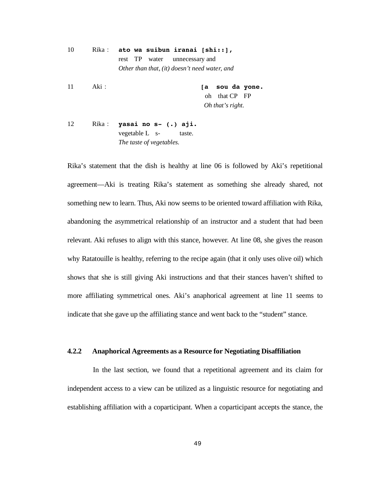10 Rika **ato wa suibun iranai [shi::],** rest TP water unnecessary and *Other than that, (it) doesn't need water, and* 

11 Aki **[a sou da yone.**  oh that CP FP *Oh that's right.* 

12 Rika **yasai no s- (.) aji.** vegetable L s- taste.  *The taste of vegetables.* 

Rika's statement that the dish is healthy at line 06 is followed by Aki's repetitional agreement—Aki is treating Rika's statement as something she already shared, not something new to learn. Thus, Aki now seems to be oriented toward affiliation with Rika, abandoning the asymmetrical relationship of an instructor and a student that had been relevant. Aki refuses to align with this stance, however. At line 08, she gives the reason why Ratatouille is healthy, referring to the recipe again (that it only uses olive oil) which shows that she is still giving Aki instructions and that their stances haven't shifted to more affiliating symmetrical ones. Aki's anaphorical agreement at line 11 seems to indicate that she gave up the affiliating stance and went back to the "student" stance.

## **4.2.2 Anaphorical Agreements as a Resource for Negotiating Disaffiliation**

 In the last section, we found that a repetitional agreement and its claim for independent access to a view can be utilized as a linguistic resource for negotiating and establishing affiliation with a coparticipant. When a coparticipant accepts the stance, the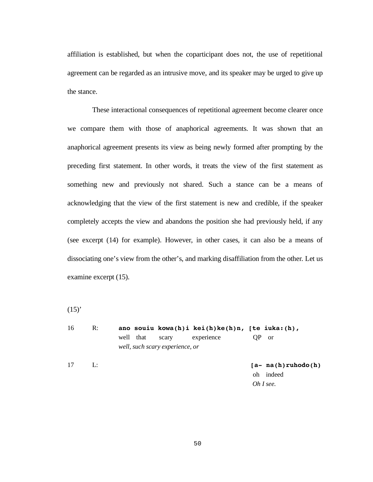affiliation is established, but when the coparticipant does not, the use of repetitional agreement can be regarded as an intrusive move, and its speaker may be urged to give up the stance.

 These interactional consequences of repetitional agreement become clearer once we compare them with those of anaphorical agreements. It was shown that an anaphorical agreement presents its view as being newly formed after prompting by the preceding first statement. In other words, it treats the view of the first statement as something new and previously not shared. Such a stance can be a means of acknowledging that the view of the first statement is new and credible, if the speaker completely accepts the view and abandons the position she had previously held, if any (see excerpt (14) for example). However, in other cases, it can also be a means of dissociating one's view from the other's, and marking disaffiliation from the other. Let us examine excerpt (15).

 $(15)^{4}$ 

| 16 | $\mathbb{R}$ : |                                 | ano souiu kowa(h)i kei(h)ke(h)n, [te iuka:(h), |                         |
|----|----------------|---------------------------------|------------------------------------------------|-------------------------|
|    |                | well that<br>scary              | experience                                     | - or                    |
|    |                | well, such scary experience, or |                                                |                         |
| 17 | L:             |                                 |                                                | $[a - na(h) ruhodo(h)]$ |
|    |                |                                 |                                                | oh indeed               |
|    |                |                                 |                                                | Oh I see.               |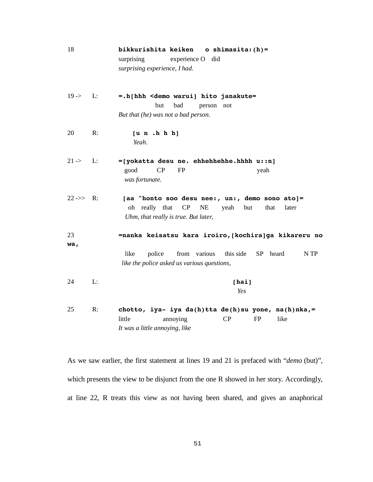| 18                     |    | bikkurishita keiken<br>o shimasita: $(h)$ =<br>surprising<br>experience O did<br>surprising experience, I had.                                              |
|------------------------|----|-------------------------------------------------------------------------------------------------------------------------------------------------------------|
| $19 - > 1$             | L: | =.h[hhh <demo hito="" janakute="&lt;br" warui]="">bad<br/>but<br/>person not<br/>But that (he) was not a bad person.</demo>                                 |
| 20                     | R: | [u n.h h]<br>Yeah.                                                                                                                                          |
| $21 -$                 | L: | =[yokatta desu ne. ehhehhehhe.hhhh u::n]<br>good<br>CP<br><b>FP</b><br>yeah<br>was fortunate.                                                               |
| $22 \rightarrow > R$ : |    | [aa ^honto soo desu nee:, un:, demo sono ato]=<br>oh really that<br>CP<br><b>NE</b><br>that<br>yeah<br>but<br>later<br>Uhm, that really is true. But later, |
| 23<br>wa,              |    | =nanka keisatsu kara iroiro, [kochira]ga kikareru no<br>like<br>from various this side SP heard<br>police<br>N TP                                           |
|                        |    | like the police asked us various questions,                                                                                                                 |
| 24                     | L: | [hat]<br>Yes                                                                                                                                                |
| 25                     | R: | chotto, iya- iya da(h)tta de(h)su yone, na(h)nka,=<br>CP<br><b>FP</b><br>little<br>annoying<br>like<br>It was a little annoying, like                       |

As we saw earlier, the first statement at lines 19 and 21 is prefaced with "*demo* (but)", which presents the view to be disjunct from the one R showed in her story. Accordingly, at line 22, R treats this view as not having been shared, and gives an anaphorical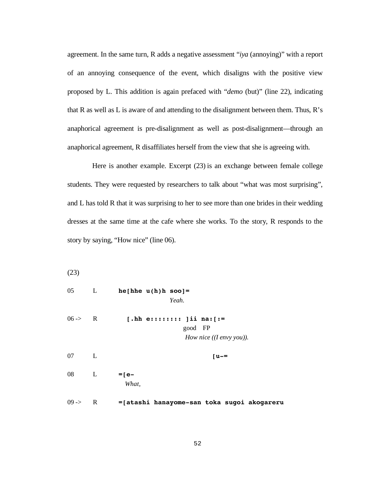agreement. In the same turn, R adds a negative assessment "*iya* (annoying)" with a report of an annoying consequence of the event, which disaligns with the positive view proposed by L. This addition is again prefaced with "*demo* (but)" (line 22), indicating that R as well as L is aware of and attending to the disalignment between them. Thus, R's anaphorical agreement is pre-disalignment as well as post-disalignment—through an anaphorical agreement, R disaffiliates herself from the view that she is agreeing with.

 Here is another example. Excerpt (23) is an exchange between female college students. They were requested by researchers to talk about "what was most surprising", and L has told R that it was surprising to her to see more than one brides in their wedding dresses at the same time at the cafe where she works. To the story, R responds to the story by saying, "How nice" (line 06).

(23)

| $05 \qquad L$      |              | $he[hhe u(h)h soo] =$<br>Yeah.                                      |
|--------------------|--------------|---------------------------------------------------------------------|
| $06 \rightarrow R$ |              | [.hh e:::::::: ]ii na: [ :=<br>good FP<br>How nice $(I$ envy you)). |
| 07                 | $\mathbf{L}$ | $[u -$                                                              |
| 08                 | $\mathbf{L}$ | $=$ [e-<br>What,                                                    |
| $09 -$             | R            | =[atashi hanayome-san toka sugoi akogareru                          |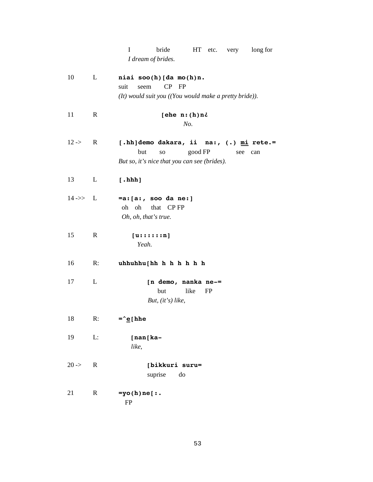|                      |              | I<br>bride<br>HT etc. very long for<br>I dream of brides.                                                                         |
|----------------------|--------------|-----------------------------------------------------------------------------------------------------------------------------------|
| 10                   | L            | niai soo(h)[da mo(h)n.<br>$CP$ $FP$<br>suit<br>seem<br>(It) would suit you ((You would make a pretty bride)).                     |
| 11                   | $\mathbf R$  | [ehe $n:(h)n\delta$<br>No.                                                                                                        |
| $12 -$               | R            | [.hh]demo dakara, ii na:, (.) mi rete.=<br>but<br>good FP<br><b>SO</b><br>see can<br>But so, it's nice that you can see (brides). |
| 13                   | L            | $[.\nhhh]$                                                                                                                        |
| $14 \rightarrow > L$ |              | $= a : [a : , soo da ne:]$<br>oh oh that CPFP<br>Oh, oh, that's true.                                                             |
| 15                   | $\mathbf R$  | [u::::::n]<br>Yeah.                                                                                                               |
| 16                   | R:           | uhhuhhu[hh h h h h h                                                                                                              |
| 17                   | L            | [n demo, nanka ne-=<br>but<br>like<br>FP<br>But, $(it's)$ like,                                                                   |
| 18                   | R:           | =^ <u>e</u> [hhe                                                                                                                  |
| 19                   | L:           | [nan[ka-<br>like,                                                                                                                 |
| $20 - 5$             | $\mathbb{R}$ | [bikkuri suru=<br>suprise<br>do                                                                                                   |
| 21                   | $\mathbf R$  | $=$ yo(h)ne[ $:$ .<br>FP                                                                                                          |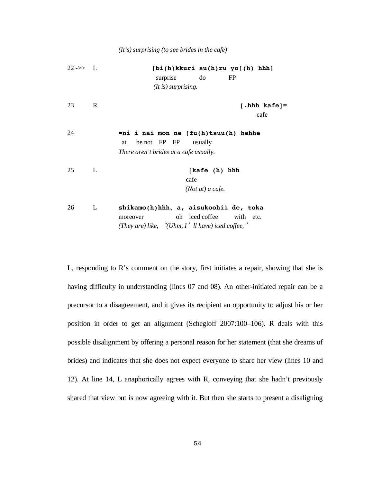*(It's) surprising (to see brides in the cafe)* 

| $22 \rightarrow > L$ |   | $[bi(h)$ kkuri su $(h)$ ru yo $[(h)$ hhh]<br>surprise<br>do<br>FP                                                                       |
|----------------------|---|-----------------------------------------------------------------------------------------------------------------------------------------|
|                      |   | (It is) surprising.                                                                                                                     |
| 23                   | R | $[.\text{hhh kafe}] =$<br>cafe                                                                                                          |
| 24                   |   | $= ni$ i nai mon ne $[fu(h) \text{tsuu}(h)$ hehhe<br>be not FP FP<br>at<br>usually<br>There aren't brides at a cafe usually.            |
| 25                   | L | [kafe (h) hhh<br>cafe<br>$(Not at) a$ cafe.                                                                                             |
| 26                   | L | shikamo(h)hhh, a, aisukoohii de, toka<br>oh iced coffee<br>with etc.<br>moreover<br>(They are) like, "(Uhm, $I'$ ll have) iced coffee," |

L, responding to R's comment on the story, first initiates a repair, showing that she is having difficulty in understanding (lines 07 and 08). An other-initiated repair can be a precursor to a disagreement, and it gives its recipient an opportunity to adjust his or her position in order to get an alignment (Schegloff 2007:100–106). R deals with this possible disalignment by offering a personal reason for her statement (that she dreams of brides) and indicates that she does not expect everyone to share her view (lines 10 and 12). At line 14, L anaphorically agrees with R, conveying that she hadn't previously shared that view but is now agreeing with it. But then she starts to present a disaligning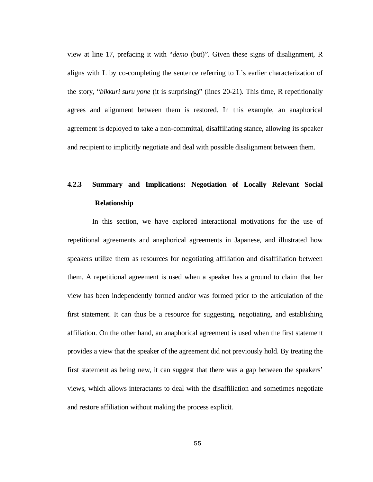view at line 17, prefacing it with "*demo* (but)". Given these signs of disalignment, R aligns with  $L$  by co-completing the sentence referring to  $L$ 's earlier characterization of the story, "*bikkuri suru yone* (it is surprising)" (lines 20-21). This time, R repetitionally agrees and alignment between them is restored. In this example, an anaphorical agreement is deployed to take a non-committal, disaffiliating stance, allowing its speaker and recipient to implicitly negotiate and deal with possible disalignment between them.

# **4.2.3 Summary and Implications: Negotiation of Locally Relevant Social Relationship**

In this section, we have explored interactional motivations for the use of repetitional agreements and anaphorical agreements in Japanese, and illustrated how speakers utilize them as resources for negotiating affiliation and disaffiliation between them. A repetitional agreement is used when a speaker has a ground to claim that her view has been independently formed and/or was formed prior to the articulation of the first statement. It can thus be a resource for suggesting, negotiating, and establishing affiliation. On the other hand, an anaphorical agreement is used when the first statement provides a view that the speaker of the agreement did not previously hold. By treating the first statement as being new, it can suggest that there was a gap between the speakers' views, which allows interactants to deal with the disaffiliation and sometimes negotiate and restore affiliation without making the process explicit.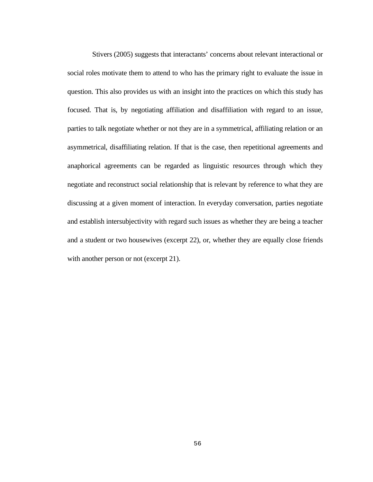Stivers (2005) suggests that interactants' concerns about relevant interactional or social roles motivate them to attend to who has the primary right to evaluate the issue in question. This also provides us with an insight into the practices on which this study has focused. That is, by negotiating affiliation and disaffiliation with regard to an issue, parties to talk negotiate whether or not they are in a symmetrical, affiliating relation or an asymmetrical, disaffiliating relation. If that is the case, then repetitional agreements and anaphorical agreements can be regarded as linguistic resources through which they negotiate and reconstruct social relationship that is relevant by reference to what they are discussing at a given moment of interaction. In everyday conversation, parties negotiate and establish intersubjectivity with regard such issues as whether they are being a teacher and a student or two housewives (excerpt 22), or, whether they are equally close friends with another person or not (excerpt 21).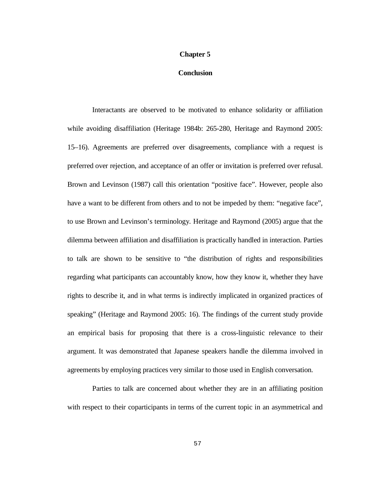## **Chapter 5**

### **Conclusion**

 Interactants are observed to be motivated to enhance solidarity or affiliation while avoiding disaffiliation (Heritage 1984b: 265-280, Heritage and Raymond 2005: 15–16). Agreements are preferred over disagreements, compliance with a request is preferred over rejection, and acceptance of an offer or invitation is preferred over refusal. Brown and Levinson (1987) call this orientation "positive face". However, people also have a want to be different from others and to not be impeded by them: "negative face", to use Brown and Levinson's terminology. Heritage and Raymond (2005) argue that the dilemma between affiliation and disaffiliation is practically handled in interaction. Parties to talk are shown to be sensitive to "the distribution of rights and responsibilities regarding what participants can accountably know, how they know it, whether they have rights to describe it, and in what terms is indirectly implicated in organized practices of speaking" (Heritage and Raymond 2005: 16). The findings of the current study provide an empirical basis for proposing that there is a cross-linguistic relevance to their argument. It was demonstrated that Japanese speakers handle the dilemma involved in agreements by employing practices very similar to those used in English conversation.

 Parties to talk are concerned about whether they are in an affiliating position with respect to their coparticipants in terms of the current topic in an asymmetrical and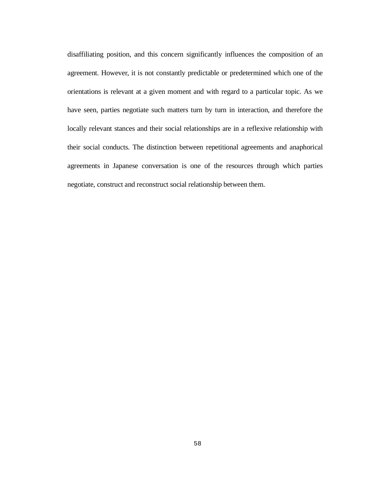disaffiliating position, and this concern significantly influences the composition of an agreement. However, it is not constantly predictable or predetermined which one of the orientations is relevant at a given moment and with regard to a particular topic. As we have seen, parties negotiate such matters turn by turn in interaction, and therefore the locally relevant stances and their social relationships are in a reflexive relationship with their social conducts. The distinction between repetitional agreements and anaphorical agreements in Japanese conversation is one of the resources through which parties negotiate, construct and reconstruct social relationship between them.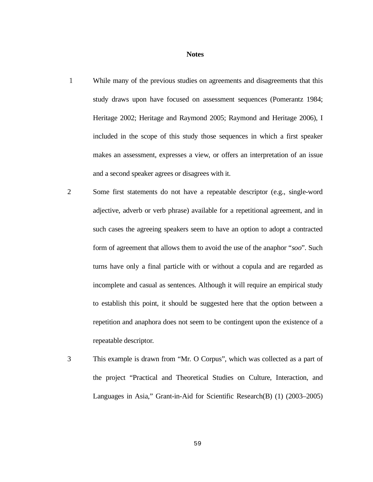### **Notes**

- While many of the previous studies on agreements and disagreements that this study draws upon have focused on assessment sequences (Pomerantz 1984; Heritage 2002; Heritage and Raymond 2005; Raymond and Heritage 2006), I included in the scope of this study those sequences in which a first speaker makes an assessment, expresses a view, or offers an interpretation of an issue and a second speaker agrees or disagrees with it.
- 2 Some first statements do not have a repeatable descriptor (e.g., single-word adjective, adverb or verb phrase) available for a repetitional agreement, and in such cases the agreeing speakers seem to have an option to adopt a contracted form of agreement that allows them to avoid the use of the anaphor "*soo*". Such turns have only a final particle with or without a copula and are regarded as incomplete and casual as sentences. Although it will require an empirical study to establish this point, it should be suggested here that the option between a repetition and anaphora does not seem to be contingent upon the existence of a repeatable descriptor.
- 3 This example is drawn from "Mr. O Corpus", which was collected as a part of the project "Practical and Theoretical Studies on Culture, Interaction, and Languages in Asia," Grant-in-Aid for Scientific Research(B) (1) (2003–2005)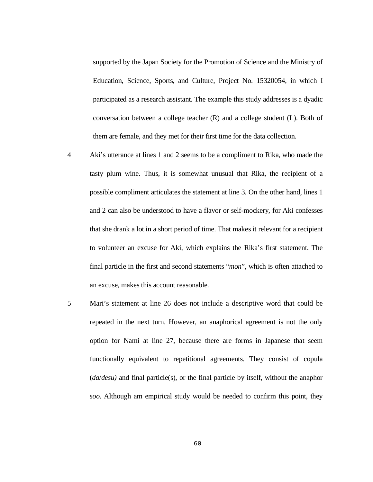supported by the Japan Society for the Promotion of Science and the Ministry of Education, Science, Sports, and Culture, Project No. 15320054, in which I participated as a research assistant. The example this study addresses is a dyadic conversation between a college teacher (R) and a college student (L). Both of them are female, and they met for their first time for the data collection.

- 4 Aki's utterance at lines 1 and 2 seems to be a compliment to Rika, who made the tasty plum wine. Thus, it is somewhat unusual that Rika, the recipient of a possible compliment articulates the statement at line 3. On the other hand, lines 1 and 2 can also be understood to have a flavor or self-mockery, for Aki confesses that she drank a lot in a short period of time. That makes it relevant for a recipient to volunteer an excuse for Aki, which explains the Rika's first statement. The final particle in the first and second statements "*mon*", which is often attached to an excuse, makes this account reasonable.
- 5 Mari's statement at line 26 does not include a descriptive word that could be repeated in the next turn. However, an anaphorical agreement is not the only option for Nami at line 27, because there are forms in Japanese that seem functionally equivalent to repetitional agreements. They consist of copula (*da*/*desu)* and final particle(s), or the final particle by itself, without the anaphor *soo*. Although am empirical study would be needed to confirm this point, they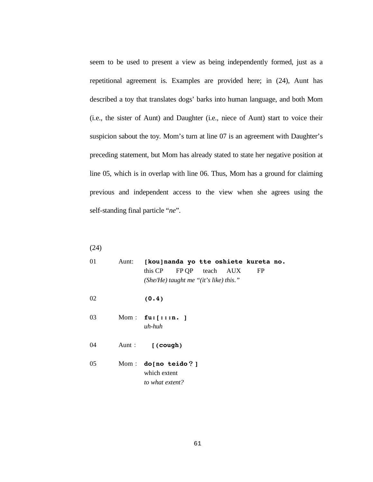seem to be used to present a view as being independently formed, just as a repetitional agreement is. Examples are provided here; in (24), Aunt has described a toy that translates dogs' barks into human language, and both Mom (i.e., the sister of Aunt) and Daughter (i.e., niece of Aunt) start to voice their suspicion sabout the toy. Mom's turn at line 07 is an agreement with Daughter's preceding statement, but Mom has already stated to state her negative position at line 05, which is in overlap with line 06. Thus, Mom has a ground for claiming previous and independent access to the view when she agrees using the self-standing final particle "*ne*".

(24)

01 Aunt: **[kou]nanda yo tte oshiete kureta no.**  this CP FP QP teach AUX FP *(She/He) taught me "(it's like) this."*  02 **(0.4)**  03 Mom : **fu:**[:::n. ] *uh-huh*  04 Aunt **[(cough)** 05 Mom: **do[no teido?]**  which extent *to what extent?*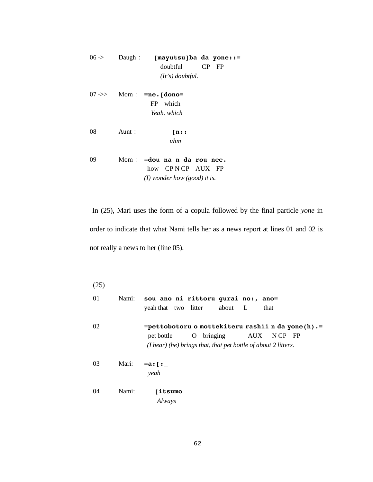| $06 - \ge 0$ | Daugh: | [mayutsu]ba da yone::= |       |
|--------------|--------|------------------------|-------|
|              |        | doubtful               | CP FP |
|              |        | $(It's)$ doubtful.     |       |

- 07 ->> Mom : **=ne.[dono=**  FP which *Yeah. which*
- 08 Aunt : **[n::** *uhm*
- 09 Mom **=dou na n da rou nee.** how CP N CP AUX FP *(I) wonder how (good) it is.*

 In (25), Mari uses the form of a copula followed by the final particle *yone* in order to indicate that what Nami tells her as a news report at lines 01 and 02 is not really a news to her (line 05).

(25)

| 01 |       |                          | Nami: sou ano ni rittoru gurai no:, ano=<br>yeah that two litter about L |  | that                                                                      |
|----|-------|--------------------------|--------------------------------------------------------------------------|--|---------------------------------------------------------------------------|
| 02 |       | pet bottle               | $(I hear)$ (he) brings that, that pet bottle of about 2 litters.         |  | =pettobotoru o mottekiteru rashii n da yone(h).=<br>O bringing AUX NCP FP |
| 03 | Mari: | =a: [ :<br>yeah          |                                                                          |  |                                                                           |
| 04 | Nami: | <b>litsumo</b><br>Always |                                                                          |  |                                                                           |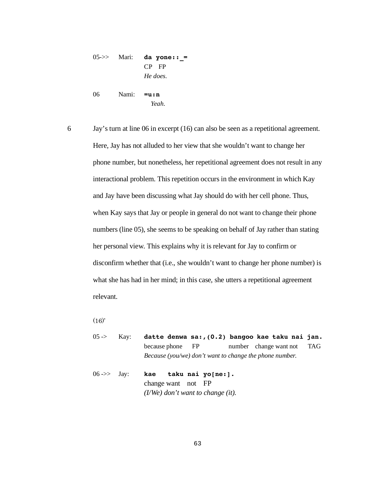05->> Mari: **da yone:: =** CP FP *He does.*  06 Nami: **=u:n** *Yeah.* 

6 Jay's turn at line 06 in excerpt (16) can also be seen as a repetitional agreement. Here, Jay has not alluded to her view that she wouldn't want to change her phone number, but nonetheless, her repetitional agreement does not result in any interactional problem. This repetition occurs in the environment in which Kay and Jay have been discussing what Jay should do with her cell phone. Thus, when Kay says that Jay or people in general do not want to change their phone numbers (line 05), she seems to be speaking on behalf of Jay rather than stating her personal view. This explains why it is relevant for Jay to confirm or disconfirm whether that (i.e., she wouldn't want to change her phone number) is what she has had in her mind; in this case, she utters a repetitional agreement relevant.

 $(16)'$ 

- 05 -> Kay: **datte denwa sa:,(0.2) bangoo kae taku nai jan.** because phone FP number change want not TAG *Because (you/we) don't want to change the phone number.*
- 06 ->> Jay: **kae taku nai yo[ne:].** change want not FP *(I/We) don't want to change (it).*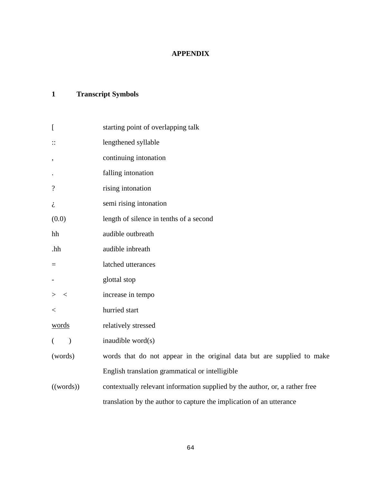# **APPENDIX**

# **1 Transcript Symbols**

| $\Gamma$                 | starting point of overlapping talk                                          |  |  |  |
|--------------------------|-----------------------------------------------------------------------------|--|--|--|
| $\vdots$                 | lengthened syllable                                                         |  |  |  |
| $\bullet$                | continuing intonation                                                       |  |  |  |
| $\bullet$                | falling intonation                                                          |  |  |  |
| $\overline{\mathcal{L}}$ | rising intonation                                                           |  |  |  |
| i                        | semi rising intonation                                                      |  |  |  |
| (0.0)                    | length of silence in tenths of a second                                     |  |  |  |
| hh                       | audible outbreath                                                           |  |  |  |
| .hh                      | audible inbreath                                                            |  |  |  |
| $=$                      | latched utterances                                                          |  |  |  |
| -                        | glottal stop                                                                |  |  |  |
| $\geq$<br>$\,<\,$        | increase in tempo                                                           |  |  |  |
| $\,<$                    | hurried start                                                               |  |  |  |
| <u>words</u>             | relatively stressed                                                         |  |  |  |
| €<br>$\mathcal{E}$       | inaudible word(s)                                                           |  |  |  |
| (words)                  | words that do not appear in the original data but are supplied to make      |  |  |  |
|                          | English translation grammatical or intelligible                             |  |  |  |
| ((words))                | contextually relevant information supplied by the author, or, a rather free |  |  |  |
|                          | translation by the author to capture the implication of an utterance        |  |  |  |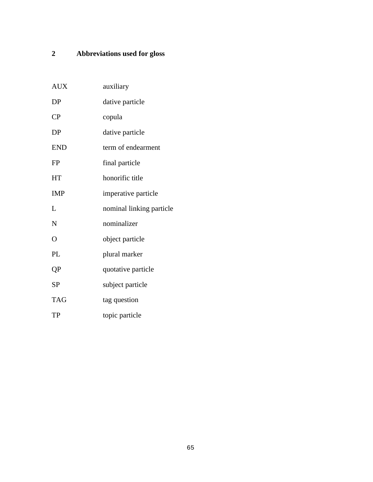# **2 Abbreviations used for gloss**

| <b>AUX</b>     | auxiliary                |
|----------------|--------------------------|
| DP             | dative particle          |
| CP             | copula                   |
| <b>DP</b>      | dative particle          |
| <b>END</b>     | term of endearment       |
| <b>FP</b>      | final particle           |
| <b>HT</b>      | honorific title          |
| <b>IMP</b>     | imperative particle      |
| L              | nominal linking particle |
| N              | nominalizer              |
| $\overline{O}$ | object particle          |
| PL             | plural marker            |
| QP             | quotative particle       |
| <b>SP</b>      | subject particle         |
| <b>TAG</b>     | tag question             |
| TP             | topic particle           |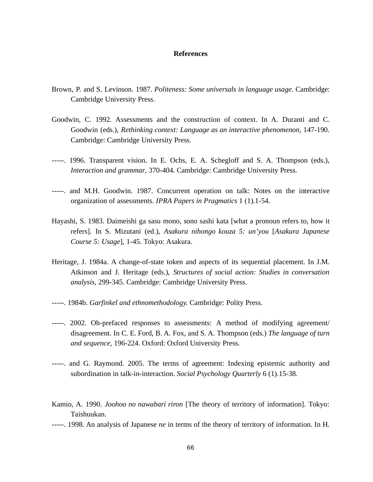## **References**

- Brown, P. and S. Levinson. 1987. *Politeness: Some universals in language usage.* Cambridge: Cambridge University Press.
- Goodwin, C. 1992. Assessments and the construction of context. In A. Duranti and C. Goodwin (eds.), *Rethinking context: Language as an interactive phenomenon,* 147-190. Cambridge: Cambridge University Press.
- -----. 1996. Transparent vision. In E. Ochs, E. A. Schegloff and S. A. Thompson (eds.), *Interaction and grammar*, 370-404. Cambridge: Cambridge University Press.
- -----. and M.H. Goodwin. 1987. Concurrent operation on talk: Notes on the interactive organization of assessments. *IPRA Papers in Pragmatics* 1 (1).1-54.
- Hayashi, S. 1983. Daimeishi ga sasu mono, sono sashi kata [what a pronoun refers to, how it refers]. In S. Mizutani (ed.), *Asakura nihongo kouza 5: un'you* [*Asakura Japanese Course 5: Usage*], 1-45. Tokyo: Asakura.
- Heritage, J. 1984a. A change-of-state token and aspects of its sequential placement. In J.M. Atkinson and J. Heritage (eds.), *Structures of social action: Studies in conversation analysis*, 299-345. Cambridge: Cambridge University Press.
- -----. 1984b. *Garfinkel and ethnomethodology.* Cambridge: Polity Press.
- -----. 2002. Oh-prefaced responses to assessments: A method of modifying agreement/ disagreement. In C. E. Ford, B. A. Fox, and S. A. Thompson (eds.) *The language of turn and sequence*, 196-224. Oxford: Oxford University Press.
- -----. and G. Raymond. 2005. The terms of agreement: Indexing epistemic authority and subordination in talk-in-interaction. *Social Psychology Quarterly* 6 (1).15-38.
- Kamio, A. 1990. *Joohoo no nawabari riron* [The theory of territory of information]. Tokyo: Taishuukan.
- -----. 1998. An analysis of Japanese *ne* in terms of the theory of territory of information. In H.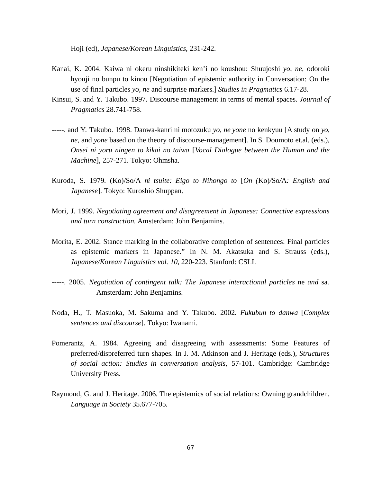Hoji (ed), *Japanese/Korean Linguistics*, 231-242.

- Kanai, K. 2004. Kaiwa ni okeru ninshikiteki ken'i no koushou: Shuujoshi *yo*, *ne*, odoroki hyouji no bunpu to kinou [Negotiation of epistemic authority in Conversation: On the use of final particles *yo*, *ne* and surprise markers.] *Studies in Pragmatics* 6.17-28.
- Kinsui, S. and Y. Takubo. 1997. Discourse management in terms of mental spaces. *Journal of Pragmatics* 28.741-758.
- -----. and Y. Takubo. 1998. Danwa-kanri ni motozuku *yo, ne yone* no kenkyuu [A study on *yo*, *ne*, and *yone* based on the theory of discourse-management]. In S. Doumoto et.al. (eds.), *Onsei ni yoru ningen to kikai no taiwa* [*Vocal Dialogue between the Human and the Machine*], 257-271. Tokyo: Ohmsha.
- Kuroda, S. 1979. (Ko)/So/A *ni tsuite: Eigo to Nihongo to* [*On (*Ko)*/*So*/*A*: English and Japanese*]. Tokyo: Kuroshio Shuppan.
- Mori, J. 1999. *Negotiating agreement and disagreement in Japanese: Connective expressions and turn construction.* Amsterdam: John Benjamins.
- Morita, E. 2002. Stance marking in the collaborative completion of sentences: Final particles as epistemic markers in Japanese." In N. M. Akatsuka and S. Strauss (eds.), *Japanese/Korean Linguistics vol. 10*, 220-223. Stanford: CSLI.
- -----. 2005. *Negotiation of contingent talk: The Japanese interactional particles* ne *and* sa*.*  Amsterdam: John Benjamins.
- Noda, H., T. Masuoka, M. Sakuma and Y. Takubo. 2002. *Fukubun to danwa* [*Complex sentences and discourse*]. Tokyo: Iwanami.
- Pomerantz, A. 1984. Agreeing and disagreeing with assessments: Some Features of preferred/dispreferred turn shapes. In J. M. Atkinson and J. Heritage (eds.), *Structures of social action: Studies in conversation analysis*, 57-101. Cambridge: Cambridge University Press.
- Raymond, G. and J. Heritage. 2006. The epistemics of social relations: Owning grandchildren. *Language in Society* 35.677-705.